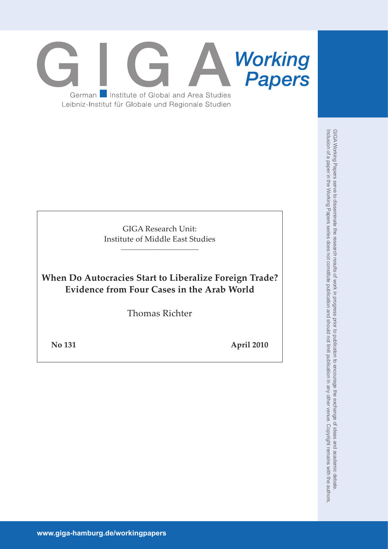

GIGA Research Unit: Institute of Middle East Studies \_\_\_\_\_\_\_\_\_\_\_\_\_\_\_\_\_\_\_\_\_\_\_\_\_\_\_

**When Do Autocracies Start to Liberalize Foreign Trade? Evidence from Four Cases in the Arab World**

Thomas Richter

**No 131 April 2010**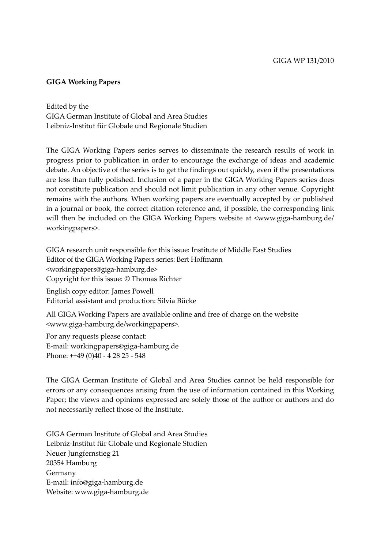# **GIGA Working Papers**

Edited by the GIGA German Institute of Global and Area Studies Leibniz‐Institut für Globale und Regionale Studien

The GIGA Working Papers series serves to disseminate the research results of work in progress prior to publication in order to encourage the exchange of ideas and academic debate. An objective of the series is to get the findings out quickly, even if the presentations are less than fully polished. Inclusion of a paper in the GIGA Working Papers series does not constitute publication and should not limit publication in any other venue. Copyright remains with the authors. When working papers are eventually accepted by or published in a journal or book, the correct citation reference and, if possible, the corresponding link will then be included on the GIGA Working Papers website at <www.giga-hamburg.de/ workingpapers>.

GIGA research unit responsible for this issue: Institute of Middle East Studies Editor of the GIGAWorking Papers series: Bert Hoffmann <workingpapers@giga‐hamburg.de> Copyright for this issue: © Thomas Richter

English copy editor: James Powell Editorial assistant and production: Silvia Bücke

All GIGA Working Papers are available online and free of charge on the website <www.giga‐hamburg.de/workingpapers>.

For any requests please contact: E‐mail: workingpapers@giga‐hamburg.de Phone: ++49 (0)40 ‐ 4 28 25 ‐ 548

The GIGA German Institute of Global and Area Studies cannot be held responsible for errors or any consequences arising from the use of information contained in this Working Paper; the views and opinions expressed are solely those of the author or authors and do not necessarily reflect those of the Institute.

GIGA German Institute of Global and Area Studies Leibniz‐Institut für Globale und Regionale Studien Neuer Jungfernstieg 21 20354 Hamburg Germany E‐mail: info@giga‐hamburg.de Website: www.giga‐hamburg.de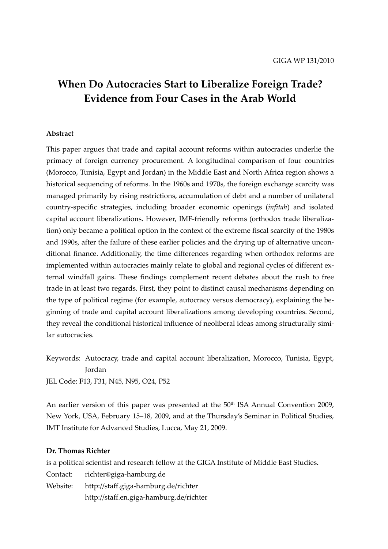# **When Do Autocracies Start to Liberalize Foreign Trade? Evidence from Four Cases in the Arab World**

# **Abstract**

This paper argues that trade and capital account reforms within autocracies underlie the primacy of foreign currency procurement. A longitudinal comparison of four countries (Morocco, Tunisia, Egypt and Jordan) in the Middle East and North Africa region shows a historical sequencing of reforms. In the 1960s and 1970s, the foreign exchange scarcity was managed primarily by rising restrictions, accumulation of debt and a number of unilateral country‐specific strategies, including broader economic openings (*infitah*) and isolated capital account liberalizations. However, IMF‐friendly reforms (orthodox trade liberaliza‐ tion) only became a political option in the context of the extreme fiscal scarcity of the 1980s and 1990s, after the failure of these earlier policies and the drying up of alternative unconditional finance. Additionally, the time differences regarding when orthodox reforms are implemented within autocracies mainly relate to global and regional cycles of different ex‐ ternal windfall gains. These findings complement recent debates about the rush to free trade in at least two regards. First, they point to distinct causal mechanisms depending on the type of political regime (for example, autocracy versus democracy), explaining the beginning of trade and capital account liberalizations among developing countries. Second, they reveal the conditional historical influence of neoliberal ideas among structurally similar autocracies.

Keywords: Autocracy, trade and capital account liberalization, Morocco, Tunisia, Egypt, Jordan JEL Code: F13, F31, N45, N95, O24, P52

An earlier version of this paper was presented at the 50<sup>th</sup> ISA Annual Convention 2009, New York, USA, February 15–18, 2009, and at the Thursday's Seminar in Political Studies, IMT Institute for Advanced Studies, Lucca, May 21, 2009.

#### **Dr. Thomas Richter**

is a political scientist and research fellow at the GIGA Institute of Middle East Studies**.**

Contact: richter@giga‐hamburg.de

Website: http://staff.giga‐hamburg.de/richter

http://staff.en.giga‐hamburg.de/richter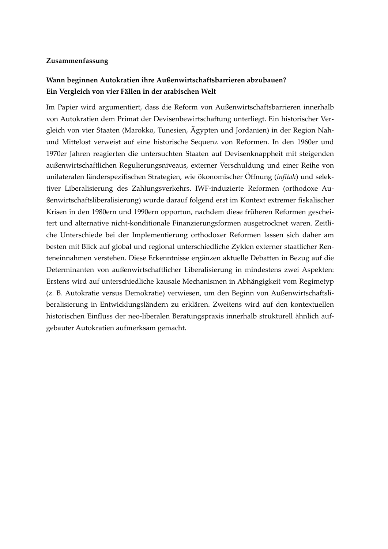#### **Zusammenfassung**

# **Wann beginnen Autokratien ihre Außenwirtschaftsbarrieren abzubauen? Ein Vergleich von vier Fällen in der arabischen Welt**

Im Papier wird argumentiert, dass die Reform von Außenwirtschaftsbarrieren innerhalb von Autokratien dem Primat der Devisenbewirtschaftung unterliegt. Ein historischer Ver‐ gleich von vier Staaten (Marokko, Tunesien, Ägypten und Jordanien) in der Region Nah‐ und Mittelost verweist auf eine historische Sequenz von Reformen. In den 1960er und 1970er Jahren reagierten die untersuchten Staaten auf Devisenknappheit mit steigenden außenwirtschaftlichen Regulierungsniveaus, externer Verschuldung und einer Reihe von unilateralen länderspezifischen Strategien, wie ökonomischer Öffnung (*infitah*) und selek‐ tiver Liberalisierung des Zahlungsverkehrs. IWF‐induzierte Reformen (orthodoxe Au‐ ßenwirtschaftsliberalisierung) wurde darauf folgend erst im Kontext extremer fiskalischer Krisen in den 1980ern und 1990ern opportun, nachdem diese früheren Reformen geschei‐ tert und alternative nicht-konditionale Finanzierungsformen ausgetrocknet waren. Zeitliche Unterschiede bei der Implementierung orthodoxer Reformen lassen sich daher am besten mit Blick auf global und regional unterschiedliche Zyklen externer staatlicher Ren‐ teneinnahmen verstehen. Diese Erkenntnisse ergänzen aktuelle Debatten in Bezug auf die Determinanten von außenwirtschaftlicher Liberalisierung in mindestens zwei Aspekten: Erstens wird auf unterschiedliche kausale Mechanismen in Abhängigkeit vom Regimetyp (z. B. Autokratie versus Demokratie) verwiesen, um den Beginn von Außenwirtschaftsli‐ beralisierung in Entwicklungsländern zu erklären. Zweitens wird auf den kontextuellen historischen Einfluss der neo-liberalen Beratungspraxis innerhalb strukturell ähnlich aufgebauter Autokratien aufmerksam gemacht.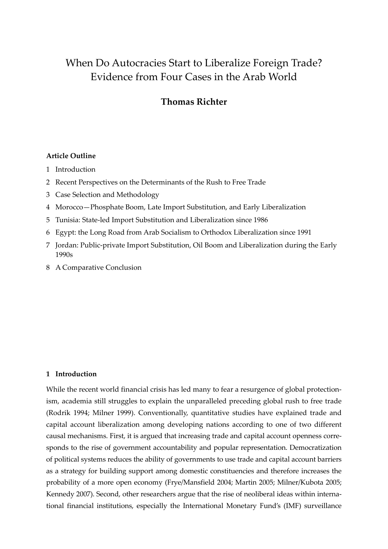# When Do Autocracies Start to Liberalize Foreign Trade? Evidence from Four Cases in the Arab World

# **Thomas Richter**

## **Article Outline**

- 1 Introduction
- 2 Recent Perspectives on the Determinants of the Rush to Free Trade
- 3 Case Selection and Methodology
- 4 Morocco—Phosphate Boom, Late Import Substitution, and Early Liberalization
- 5 Tunisia: State‐led Import Substitution and Liberalization since 1986
- 6 Egypt: the Long Road from Arab Socialism to Orthodox Liberalization since 1991
- 7 Jordan: Public‐private Import Substitution, Oil Boom and Liberalization during the Early 1990s
- 8 A Comparative Conclusion

# **1 Introduction**

While the recent world financial crisis has led many to fear a resurgence of global protectionism, academia still struggles to explain the unparalleled preceding global rush to free trade (Rodrik 1994; Milner 1999). Conventionally, quantitative studies have explained trade and capital account liberalization among developing nations according to one of two different causal mechanisms. First, it is argued that increasing trade and capital account openness corre‐ sponds to the rise of government accountability and popular representation. Democratization of political systems reduces the ability of governments to use trade and capital account barriers as a strategy for building support among domestic constituencies and therefore increases the probability of a more open economy (Frye/Mansfield 2004; Martin 2005; Milner/Kubota 2005; Kennedy 2007). Second, other researchers argue that the rise of neoliberal ideas within international financial institutions, especially the International Monetary Fund's (IMF) surveillance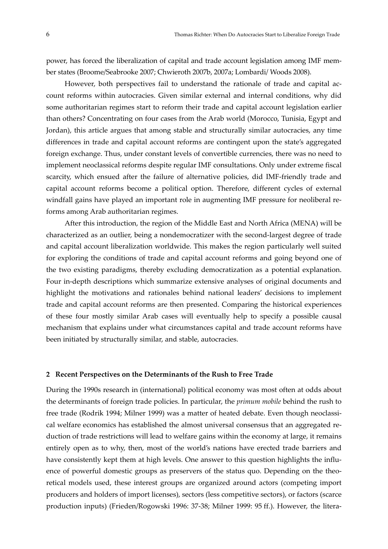power, has forced the liberalization of capital and trade account legislation among IMF member states (Broome/Seabrooke 2007; Chwieroth 2007b, 2007a; Lombardi/ Woods 2008).

However, both perspectives fail to understand the rationale of trade and capital ac‐ count reforms within autocracies. Given similar external and internal conditions, why did some authoritarian regimes start to reform their trade and capital account legislation earlier than others? Concentrating on four cases from the Arab world (Morocco, Tunisia, Egypt and Jordan), this article argues that among stable and structurally similar autocracies, any time differences in trade and capital account reforms are contingent upon the state's aggregated foreign exchange. Thus, under constant levels of convertible currencies, there was no need to implement neoclassical reforms despite regular IMF consultations. Only under extreme fiscal scarcity, which ensued after the failure of alternative policies, did IMF-friendly trade and capital account reforms become a political option. Therefore, different cycles of external windfall gains have played an important role in augmenting IMF pressure for neoliberal reforms among Arab authoritarian regimes.

After this introduction, the region of the Middle East and North Africa (MENA) will be characterized as an outlier, being a nondemocratizer with the second‐largest degree of trade and capital account liberalization worldwide. This makes the region particularly well suited for exploring the conditions of trade and capital account reforms and going beyond one of the two existing paradigms, thereby excluding democratization as a potential explanation. Four in-depth descriptions which summarize extensive analyses of original documents and highlight the motivations and rationales behind national leaders' decisions to implement trade and capital account reforms are then presented. Comparing the historical experiences of these four mostly similar Arab cases will eventually help to specify a possible causal mechanism that explains under what circumstances capital and trade account reforms have been initiated by structurally similar, and stable, autocracies.

#### **2 Recent Perspectives on the Determinants of the Rush to Free Trade**

During the 1990s research in (international) political economy was most often at odds about the determinants of foreign trade policies. In particular, the *primum mobile* behind the rush to free trade (Rodrik 1994; Milner 1999) was a matter of heated debate. Even though neoclassical welfare economics has established the almost universal consensus that an aggregated reduction of trade restrictions will lead to welfare gains within the economy at large, it remains entirely open as to why, then, most of the world's nations have erected trade barriers and have consistently kept them at high levels. One answer to this question highlights the influence of powerful domestic groups as preservers of the status quo. Depending on the theoretical models used, these interest groups are organized around actors (competing import producers and holders of import licenses), sectors (less competitive sectors), or factors (scarce production inputs) (Frieden/Rogowski 1996: 37‐38; Milner 1999: 95 ff.). However, the litera‐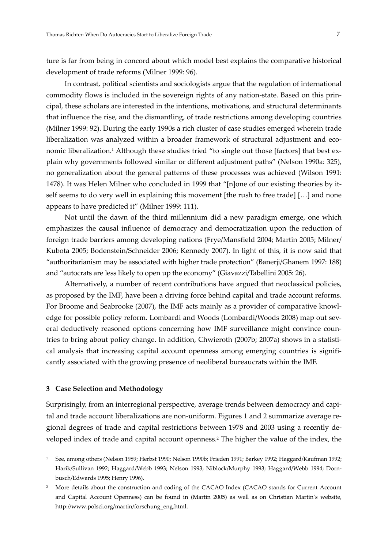ture is far from being in concord about which model best explains the comparative historical development of trade reforms (Milner 1999: 96).

In contrast, political scientists and sociologists argue that the regulation of international commodity flows is included in the sovereign rights of any nation‐state. Based on this prin‐ cipal, these scholars are interested in the intentions, motivations, and structural determinants that influence the rise, and the dismantling, of trade restrictions among developing countries (Milner 1999: 92). During the early 1990s a rich cluster of case studies emerged wherein trade liberalization was analyzed within a broader framework of structural adjustment and economic liberalization.<sup>1</sup> Although these studies tried "to single out those [factors] that best explain why governments followed similar or different adjustment paths" (Nelson 1990a: 325), no generalization about the general patterns of these processes was achieved (Wilson 1991: 1478). It was Helen Milner who concluded in 1999 that "[n]one of our existing theories by it‐ self seems to do very well in explaining this movement [the rush to free trade] […] and none appears to have predicted it" (Milner 1999: 111).

Not until the dawn of the third millennium did a new paradigm emerge, one which emphasizes the causal influence of democracy and democratization upon the reduction of foreign trade barriers among developing nations (Frye/Mansfield 2004; Martin 2005; Milner/ Kubota 2005; Bodenstein/Schneider 2006; Kennedy 2007). In light of this, it is now said that "authoritarianism may be associated with higher trade protection" (Banerji/Ghanem 1997: 188) and "autocrats are less likely to open up the economy" (Giavazzi/Tabellini 2005: 26).

Alternatively, a number of recent contributions have argued that neoclassical policies, as proposed by the IMF, have been a driving force behind capital and trade account reforms. For Broome and Seabrooke (2007), the IMF acts mainly as a provider of comparative knowledge for possible policy reform. Lombardi and Woods (Lombardi/Woods 2008) map out several deductively reasoned options concerning how IMF surveillance might convince countries to bring about policy change. In addition, Chwieroth (2007b; 2007a) shows in a statistical analysis that increasing capital account openness among emerging countries is significantly associated with the growing presence of neoliberal bureaucrats within the IMF.

#### **3 Case Selection and Methodology**

Surprisingly, from an interregional perspective, average trends between democracy and capital and trade account liberalizations are non-uniform. Figures 1 and 2 summarize average regional degrees of trade and capital restrictions between 1978 and 2003 using a recently de‐ veloped index of trade and capital account openness.2 The higher the value of the index, the

<sup>1</sup> See, among others (Nelson 1989; Herbst 1990; Nelson 1990b; Frieden 1991; Barkey 1992; Haggard/Kaufman 1992; Harik/Sullivan 1992; Haggard/Webb 1993; Nelson 1993; Niblock/Murphy 1993; Haggard/Webb 1994; Dorn‐ busch/Edwards 1995; Henry 1996).

<sup>2</sup> More details about the construction and coding of the CACAO Index (CACAO stands for Current Account and Capital Account Openness) can be found in (Martin 2005) as well as on Christian Martin's website, http://www.polsci.org/martin/forschung\_eng.html.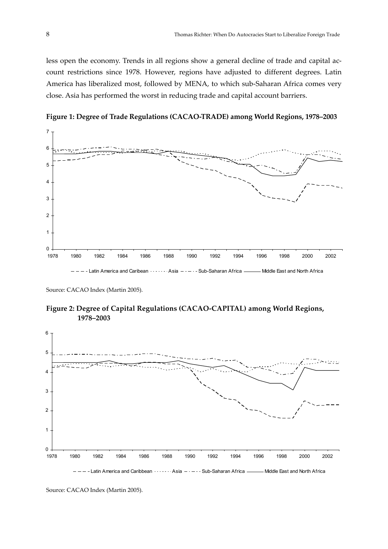less open the economy. Trends in all regions show a general decline of trade and capital account restrictions since 1978. However, regions have adjusted to different degrees. Latin America has liberalized most, followed by MENA, to which sub‐Saharan Africa comes very close. Asia has performed the worst in reducing trade and capital account barriers.



**Figure 1: Degree of Trade Regulations (CACAO‐TRADE) among World Regions, 1978–2003**

Source: CACAO Index (Martin 2005).





Source: CACAO Index (Martin 2005).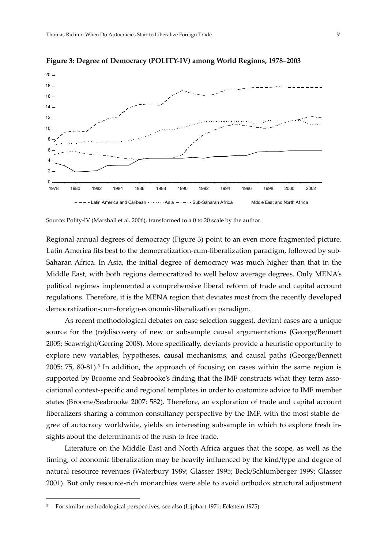

**Figure 3: Degree of Democracy (POLITY‐IV) among World Regions, 1978–2003**

Source: Polity-IV (Marshall et al. 2006), transformed to a 0 to 20 scale by the author.

Regional annual degrees of democracy (Figure 3) point to an even more fragmented picture. Latin America fits best to the democratization-cum-liberalization paradigm, followed by sub-Saharan Africa. In Asia, the initial degree of democracy was much higher than that in the Middle East, with both regions democratized to well below average degrees. Only MENA's political regimes implemented a comprehensive liberal reform of trade and capital account regulations. Therefore, it is the MENA region that deviates most from the recently developed democratization‐cum‐foreign‐economic‐liberalization paradigm.

As recent methodological debates on case selection suggest, deviant cases are a unique source for the (re)discovery of new or subsample causal argumentations (George/Bennett 2005; Seawright/Gerring 2008). More specifically, deviants provide a heuristic opportunity to explore new variables, hypotheses, causal mechanisms, and causal paths (George/Bennett 2005: 75, 80‐81).3 In addition, the approach of focusing on cases within the same region is supported by Broome and Seabrooke's finding that the IMF constructs what they term associational context‐specific and regional templates in order to customize advice to IMF member states (Broome/Seabrooke 2007: 582). Therefore, an exploration of trade and capital account liberalizers sharing a common consultancy perspective by the IMF, with the most stable de‐ gree of autocracy worldwide, yields an interesting subsample in which to explore fresh insights about the determinants of the rush to free trade.

Literature on the Middle East and North Africa argues that the scope, as well as the timing, of economic liberalization may be heavily influenced by the kind/type and degree of natural resource revenues (Waterbury 1989; Glasser 1995; Beck/Schlumberger 1999; Glasser 2001). But only resource‐rich monarchies were able to avoid orthodox structural adjustment

<sup>3</sup> For similar methodological perspectives, see also (Lijphart 1971; Eckstein 1975).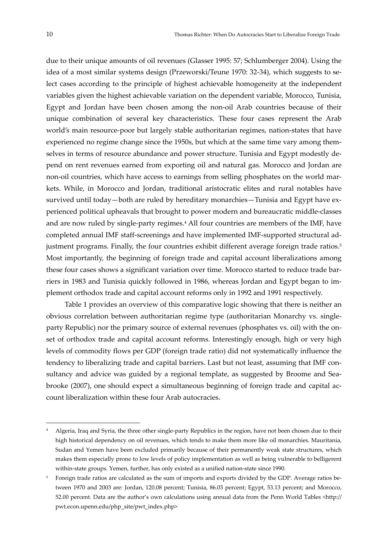due to their unique amounts of oil revenues (Glasser 1995: 57; Schlumberger 2004). Using the idea of a most similar systems design (Przeworski/Teune 1970: 32‐34), which suggests to se‐ lect cases according to the principle of highest achievable homogeneity at the independent variables given the highest achievable variation on the dependent variable, Morocco, Tunisia, Egypt and Jordan have been chosen among the non‐oil Arab countries because of their unique combination of several key characteristics. These four cases represent the Arab world's main resource‐poor but largely stable authoritarian regimes, nation‐states that have experienced no regime change since the 1950s, but which at the same time vary among themselves in terms of resource abundance and power structure. Tunisia and Egypt modestly depend on rent revenues earned from exporting oil and natural gas. Morocco and Jordan are non-oil countries, which have access to earnings from selling phosphates on the world markets. While, in Morocco and Jordan, traditional aristocratic elites and rural notables have survived until today—both are ruled by hereditary monarchies—Tunisia and Egypt have ex‐ perienced political upheavals that brought to power modern and bureaucratic middle‐classes and are now ruled by single-party regimes.<sup>4</sup> All four countries are members of the IMF, have completed annual IMF staff‐screenings and have implemented IMF‐supported structural ad‐ justment programs. Finally, the four countries exhibit different average foreign trade ratios.<sup>5</sup> Most importantly, the beginning of foreign trade and capital account liberalizations among these four cases shows a significant variation over time. Morocco started to reduce trade barriers in 1983 and Tunisia quickly followed in 1986, whereas Jordan and Egypt began to im‐ plement orthodox trade and capital account reforms only in 1992 and 1991 respectively.

Table 1 provides an overview of this comparative logic showing that there is neither an obvious correlation between authoritarian regime type (authoritarian Monarchy vs. single‐ party Republic) nor the primary source of external revenues (phosphates vs. oil) with the onset of orthodox trade and capital account reforms. Interestingly enough, high or very high levels of commodity flows per GDP (foreign trade ratio) did not systematically influence the tendency to liberalizing trade and capital barriers. Last but not least, assuming that IMF consultancy and advice was guided by a regional template, as suggested by Broome and Seabrooke (2007), one should expect a simultaneous beginning of foreign trade and capital ac‐ count liberalization within these four Arab autocracies.

<sup>4</sup> Algeria, Iraq and Syria, the three other single‐party Republics in the region, have not been chosen due to their high historical dependency on oil revenues, which tends to make them more like oil monarchies. Mauritania, Sudan and Yemen have been excluded primarily because of their permanently weak state structures, which makes them especially prone to low levels of policy implementation as well as being vulnerable to belligerent within-state groups. Yemen, further, has only existed as a unified nation-state since 1990.

<sup>5</sup> Foreign trade ratios are calculated as the sum of imports and exports divided by the GDP. Average ratios be‐ tween 1970 and 2003 are: Jordan, 120.08 percent; Tunisia, 86.03 percent; Egypt, 53.13 percent; and Morocco, 52.00 percent. Data are the author's own calculations using annual data from the Penn World Tables <http:// pwt.econ.upenn.edu/php\_site/pwt\_index.php>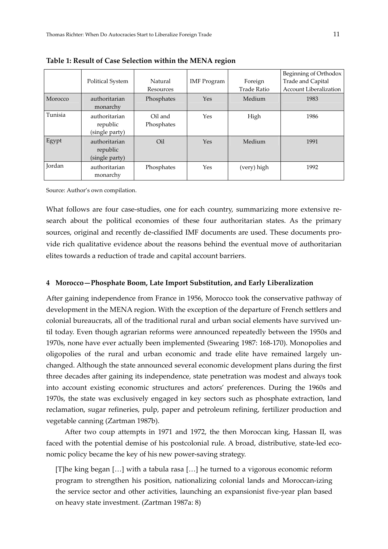|         | Political System                            | Natural<br>Resources  | <b>IMF</b> Program | Foreign<br>Trade Ratio | Beginning of Orthodox<br>Trade and Capital<br><b>Account Liberalization</b> |  |  |
|---------|---------------------------------------------|-----------------------|--------------------|------------------------|-----------------------------------------------------------------------------|--|--|
| Morocco | authoritarian<br>monarchy                   | Phosphates            | Yes                | Medium                 | 1983                                                                        |  |  |
| Tunisia | authoritarian<br>republic<br>(single party) | Oil and<br>Phosphates | Yes                | High                   | 1986                                                                        |  |  |
| Egypt   | authoritarian<br>republic<br>(single party) | Oil                   | Yes                | Medium                 | 1991                                                                        |  |  |
| Jordan  | authoritarian<br>monarchy                   | Phosphates            | Yes                | (very) high            | 1992                                                                        |  |  |

**Table 1: Result of Case Selection within the MENA region**

Source: Author's own compilation.

What follows are four case-studies, one for each country, summarizing more extensive research about the political economies of these four authoritarian states. As the primary sources, original and recently de-classified IMF documents are used. These documents provide rich qualitative evidence about the reasons behind the eventual move of authoritarian elites towards a reduction of trade and capital account barriers.

#### **4 Morocco—Phosphate Boom, Late Import Substitution, and Early Liberalization**

After gaining independence from France in 1956, Morocco took the conservative pathway of development in the MENA region. With the exception of the departure of French settlers and colonial bureaucrats, all of the traditional rural and urban social elements have survived un‐ til today. Even though agrarian reforms were announced repeatedly between the 1950s and 1970s, none have ever actually been implemented (Swearing 1987: 168‐170). Monopolies and oligopolies of the rural and urban economic and trade elite have remained largely un‐ changed. Although the state announced several economic development plans during the first three decades after gaining its independence, state penetration was modest and always took into account existing economic structures and actors' preferences. During the 1960s and 1970s, the state was exclusively engaged in key sectors such as phosphate extraction, land reclamation, sugar refineries, pulp, paper and petroleum refining, fertilizer production and vegetable canning (Zartman 1987b).

After two coup attempts in 1971 and 1972, the then Moroccan king, Hassan II, was faced with the potential demise of his postcolonial rule. A broad, distributive, state-led economic policy became the key of his new power-saving strategy.

[T]he king began […] with a tabula rasa […] he turned to a vigorous economic reform program to strengthen his position, nationalizing colonial lands and Moroccan‐izing the service sector and other activities, launching an expansionist five‐year plan based on heavy state investment. (Zartman 1987a: 8)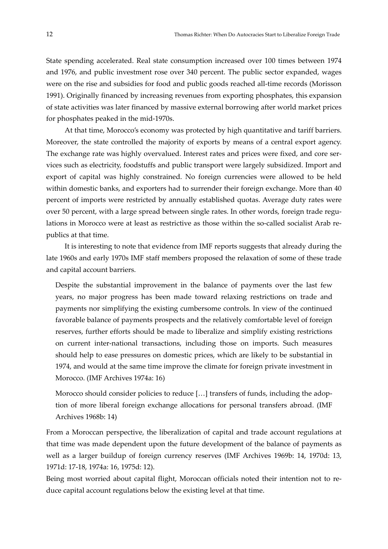State spending accelerated. Real state consumption increased over 100 times between 1974 and 1976, and public investment rose over 340 percent. The public sector expanded, wages were on the rise and subsidies for food and public goods reached all‐time records (Morisson 1991). Originally financed by increasing revenues from exporting phosphates, this expansion of state activities was later financed by massive external borrowing after world market prices for phosphates peaked in the mid‐1970s.

At that time, Morocco's economy was protected by high quantitative and tariff barriers. Moreover, the state controlled the majority of exports by means of a central export agency. The exchange rate was highly overvalued. Interest rates and prices were fixed, and core services such as electricity, foodstuffs and public transport were largely subsidized. Import and export of capital was highly constrained. No foreign currencies were allowed to be held within domestic banks, and exporters had to surrender their foreign exchange. More than 40 percent of imports were restricted by annually established quotas. Average duty rates were over 50 percent, with a large spread between single rates. In other words, foreign trade regulations in Morocco were at least as restrictive as those within the so-called socialist Arab republics at that time.

It is interesting to note that evidence from IMF reports suggests that already during the late 1960s and early 1970s IMF staff members proposed the relaxation of some of these trade and capital account barriers.

Despite the substantial improvement in the balance of payments over the last few years, no major progress has been made toward relaxing restrictions on trade and payments nor simplifying the existing cumbersome controls. In view of the continued favorable balance of payments prospects and the relatively comfortable level of foreign reserves, further efforts should be made to liberalize and simplify existing restrictions on current inter‐national transactions, including those on imports. Such measures should help to ease pressures on domestic prices, which are likely to be substantial in 1974, and would at the same time improve the climate for foreign private investment in Morocco. (IMF Archives 1974a: 16)

Morocco should consider policies to reduce [...] transfers of funds, including the adoption of more liberal foreign exchange allocations for personal transfers abroad. (IMF Archives 1968b: 14)

From a Moroccan perspective, the liberalization of capital and trade account regulations at that time was made dependent upon the future development of the balance of payments as well as a larger buildup of foreign currency reserves (IMF Archives 1969b: 14, 1970d: 13, 1971d: 17‐18, 1974a: 16, 1975d: 12).

Being most worried about capital flight, Moroccan officials noted their intention not to reduce capital account regulations below the existing level at that time.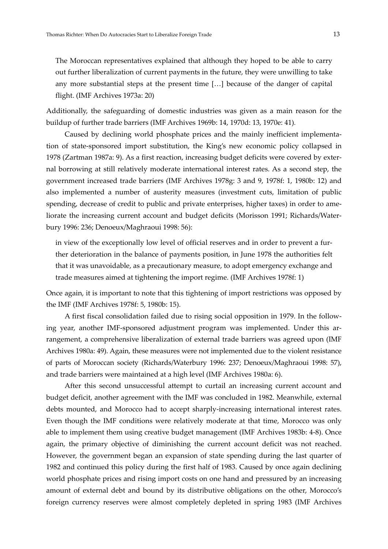The Moroccan representatives explained that although they hoped to be able to carry out further liberalization of current payments in the future, they were unwilling to take any more substantial steps at the present time […] because of the danger of capital flight. (IMF Archives 1973a: 20)

Additionally, the safeguarding of domestic industries was given as a main reason for the buildup of further trade barriers (IMF Archives 1969b: 14, 1970d: 13, 1970e: 41).

Caused by declining world phosphate prices and the mainly inefficient implementa‐ tion of state‐sponsored import substitution, the King's new economic policy collapsed in 1978 (Zartman 1987a: 9). As a first reaction, increasing budget deficits were covered by exter‐ nal borrowing at still relatively moderate international interest rates. As a second step, the government increased trade barriers (IMF Archives 1978g: 3 and 9, 1978f: 1, 1980b: 12) and also implemented a number of austerity measures (investment cuts, limitation of public spending, decrease of credit to public and private enterprises, higher taxes) in order to ameliorate the increasing current account and budget deficits (Morisson 1991; Richards/Water‐ bury 1996: 236; Denoeux/Maghraoui 1998: 56):

in view of the exceptionally low level of official reserves and in order to prevent a fur‐ ther deterioration in the balance of payments position, in June 1978 the authorities felt that it was unavoidable, as a precautionary measure, to adopt emergency exchange and trade measures aimed at tightening the import regime. (IMF Archives 1978f: 1)

Once again, it is important to note that this tightening of import restrictions was opposed by the IMF (IMF Archives 1978f: 5, 1980b: 15).

A first fiscal consolidation failed due to rising social opposition in 1979. In the follow‐ ing year, another IMF-sponsored adjustment program was implemented. Under this arrangement, a comprehensive liberalization of external trade barriers was agreed upon (IMF Archives 1980a: 49). Again, these measures were not implemented due to the violent resistance of parts of Moroccan society (Richards/Waterbury 1996: 237; Denoeux/Maghraoui 1998: 57), and trade barriers were maintained at a high level (IMF Archives 1980a: 6).

After this second unsuccessful attempt to curtail an increasing current account and budget deficit, another agreement with the IMF was concluded in 1982. Meanwhile, external debts mounted, and Morocco had to accept sharply‐increasing international interest rates. Even though the IMF conditions were relatively moderate at that time, Morocco was only able to implement them using creative budget management (IMF Archives 1983b: 4‐8). Once again, the primary objective of diminishing the current account deficit was not reached. However, the government began an expansion of state spending during the last quarter of 1982 and continued this policy during the first half of 1983. Caused by once again declining world phosphate prices and rising import costs on one hand and pressured by an increasing amount of external debt and bound by its distributive obligations on the other, Morocco's foreign currency reserves were almost completely depleted in spring 1983 (IMF Archives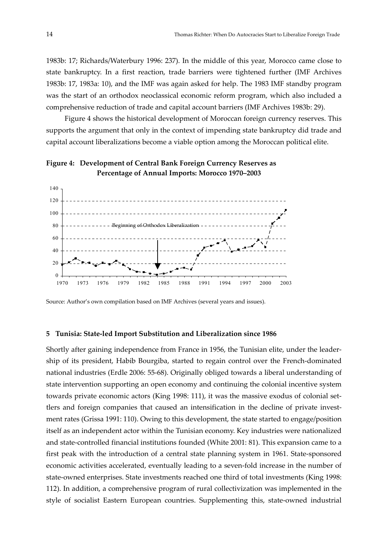1983b: 17; Richards/Waterbury 1996: 237). In the middle of this year, Morocco came close to state bankruptcy. In a first reaction, trade barriers were tightened further (IMF Archives 1983b: 17, 1983a: 10), and the IMF was again asked for help. The 1983 IMF standby program was the start of an orthodox neoclassical economic reform program, which also included a comprehensive reduction of trade and capital account barriers (IMF Archives 1983b: 29).

Figure 4 shows the historical development of Moroccan foreign currency reserves. This supports the argument that only in the context of impending state bankruptcy did trade and capital account liberalizations become a viable option among the Moroccan political elite.



**Figure 4: Development of Central Bank Foreign Currency Reserves as Percentage of Annual Imports: Morocco 1970–2003**

Source: Author's own compilation based on IMF Archives (several years and issues).

#### **5 Tunisia: State‐led Import Substitution and Liberalization since 1986**

Shortly after gaining independence from France in 1956, the Tunisian elite, under the leader‐ ship of its president, Habib Bourgiba, started to regain control over the French‐dominated national industries (Erdle 2006: 55‐68). Originally obliged towards a liberal understanding of state intervention supporting an open economy and continuing the colonial incentive system towards private economic actors (King 1998: 111), it was the massive exodus of colonial settlers and foreign companies that caused an intensification in the decline of private investment rates (Grissa 1991: 110). Owing to this development, the state started to engage/position itself as an independent actor within the Tunisian economy. Key industries were nationalized and state-controlled financial institutions founded (White 2001: 81). This expansion came to a first peak with the introduction of a central state planning system in 1961. State-sponsored economic activities accelerated, eventually leading to a seven-fold increase in the number of state‐owned enterprises. State investments reached one third of total investments (King 1998: 112). In addition, a comprehensive program of rural collectivization was implemented in the style of socialist Eastern European countries. Supplementing this, state‐owned industrial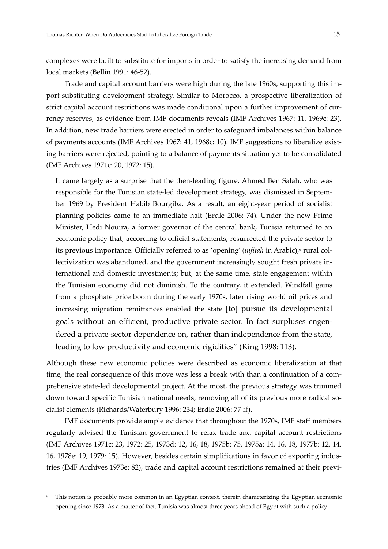complexes were built to substitute for imports in order to satisfy the increasing demand from local markets (Bellin 1991: 46‐52).

Trade and capital account barriers were high during the late 1960s, supporting this im‐ port-substituting development strategy. Similar to Morocco, a prospective liberalization of strict capital account restrictions was made conditional upon a further improvement of currency reserves, as evidence from IMF documents reveals (IMF Archives 1967: 11, 1969c: 23). In addition, new trade barriers were erected in order to safeguard imbalances within balance of payments accounts (IMF Archives 1967: 41, 1968c: 10). IMF suggestions to liberalize exist‐ ing barriers were rejected, pointing to a balance of payments situation yet to be consolidated (IMF Archives 1971c: 20, 1972: 15).

It came largely as a surprise that the then‐leading figure, Ahmed Ben Salah, who was responsible for the Tunisian state‐led development strategy, was dismissed in Septem‐ ber 1969 by President Habib Bourgiba. As a result, an eight‐year period of socialist planning policies came to an immediate halt (Erdle 2006: 74). Under the new Prime Minister, Hedi Nouira, a former governor of the central bank, Tunisia returned to an economic policy that, according to official statements, resurrected the private sector to its previous importance. Officially referred to as 'opening' *(infitah* in Arabic),<sup>6</sup> rural collectivization was abandoned, and the government increasingly sought fresh private in‐ ternational and domestic investments; but, at the same time, state engagement within the Tunisian economy did not diminish. To the contrary, it extended. Windfall gains from a phosphate price boom during the early 1970s, later rising world oil prices and increasing migration remittances enabled the state [to] pursue its developmental goals without an efficient, productive private sector. In fact surpluses engen‐ dered a private‐sector dependence on, rather than independence from the state, leading to low productivity and economic rigidities" (King 1998: 113).

Although these new economic policies were described as economic liberalization at that time, the real consequence of this move was less a break with than a continuation of a comprehensive state‐led developmental project. At the most, the previous strategy was trimmed down toward specific Tunisian national needs, removing all of its previous more radical so‐ cialist elements (Richards/Waterbury 1996: 234; Erdle 2006: 77 ff).

IMF documents provide ample evidence that throughout the 1970s, IMF staff members regularly advised the Tunisian government to relax trade and capital account restrictions (IMF Archives 1971c: 23, 1972: 25, 1973d: 12, 16, 18, 1975b: 75, 1975a: 14, 16, 18, 1977b: 12, 14, 16, 1978e: 19, 1979: 15). However, besides certain simplifications in favor of exporting indus‐ tries (IMF Archives 1973e: 82), trade and capital account restrictions remained at their previ-

This notion is probably more common in an Egyptian context, therein characterizing the Egyptian economic opening since 1973. As a matter of fact, Tunisia was almost three years ahead of Egypt with such a policy.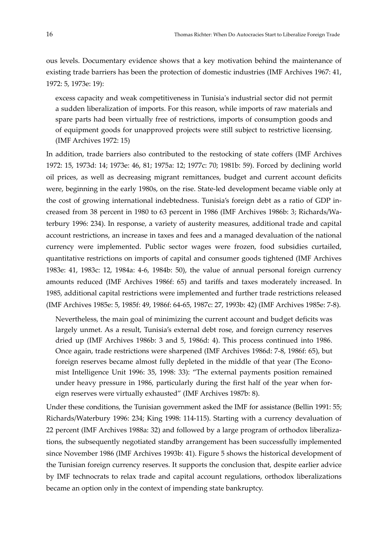ous levels. Documentary evidence shows that a key motivation behind the maintenance of existing trade barriers has been the protection of domestic industries (IMF Archives 1967: 41, 1972: 5, 1973e: 19):

excess capacity and weak competitiveness in Tunisiaʹs industrial sector did not permit a sudden liberalization of imports. For this reason, while imports of raw materials and spare parts had been virtually free of restrictions, imports of consumption goods and of equipment goods for unapproved projects were still subject to restrictive licensing. (IMF Archives 1972: 15)

In addition, trade barriers also contributed to the restocking of state coffers (IMF Archives 1972: 15, 1973d: 14; 1973e: 46, 81; 1975a: 12; 1977c: 70; 1981b: 59). Forced by declining world oil prices, as well as decreasing migrant remittances, budget and current account deficits were, beginning in the early 1980s, on the rise. State‐led development became viable only at the cost of growing international indebtedness. Tunisia's foreign debt as a ratio of GDP in‐ creased from 38 percent in 1980 to 63 percent in 1986 (IMF Archives 1986b: 3; Richards/Wa‐ terbury 1996: 234). In response, a variety of austerity measures, additional trade and capital account restrictions, an increase in taxes and fees and a managed devaluation of the national currency were implemented. Public sector wages were frozen, food subsidies curtailed, quantitative restrictions on imports of capital and consumer goods tightened (IMF Archives 1983e: 41, 1983c: 12, 1984a: 4‐6, 1984b: 50), the value of annual personal foreign currency amounts reduced (IMF Archives 1986f: 65) and tariffs and taxes moderately increased. In 1985, additional capital restrictions were implemented and further trade restrictions released (IMF Archives 1985e: 5, 1985f: 49, 1986f: 64‐65, 1987c: 27, 1993b: 42) (IMF Archives 1985e: 7‐8).

Nevertheless, the main goal of minimizing the current account and budget deficits was largely unmet. As a result, Tunisia's external debt rose, and foreign currency reserves dried up (IMF Archives 1986b: 3 and 5, 1986d: 4). This process continued into 1986. Once again, trade restrictions were sharpened (IMF Archives 1986d: 7‐8, 1986f: 65), but foreign reserves became almost fully depleted in the middle of that year (The Economist Intelligence Unit 1996: 35, 1998: 33): "The external payments position remained under heavy pressure in 1986, particularly during the first half of the year when foreign reserves were virtually exhausted" (IMF Archives 1987b: 8).

Under these conditions, the Tunisian government asked the IMF for assistance (Bellin 1991: 55; Richards/Waterbury 1996: 234; King 1998: 114‐115). Starting with a currency devaluation of 22 percent (IMF Archives 1988a: 32) and followed by a large program of orthodox liberaliza‐ tions, the subsequently negotiated standby arrangement has been successfully implemented since November 1986 (IMF Archives 1993b: 41). Figure 5 shows the historical development of the Tunisian foreign currency reserves. It supports the conclusion that, despite earlier advice by IMF technocrats to relax trade and capital account regulations, orthodox liberalizations became an option only in the context of impending state bankruptcy.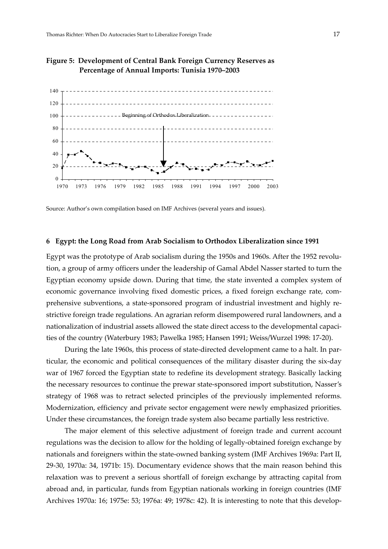



Source: Author's own compilation based on IMF Archives (several years and issues).

#### **6 Egypt: the Long Road from Arab Socialism to Orthodox Liberalization since 1991**

Egypt was the prototype of Arab socialism during the 1950s and 1960s. After the 1952 revolution, a group of army officers under the leadership of Gamal Abdel Nasser started to turn the Egyptian economy upside down. During that time, the state invented a complex system of economic governance involving fixed domestic prices, a fixed foreign exchange rate, comprehensive subventions, a state‐sponsored program of industrial investment and highly re‐ strictive foreign trade regulations. An agrarian reform disempowered rural landowners, and a nationalization of industrial assets allowed the state direct access to the developmental capacities of the country (Waterbury 1983; Pawelka 1985; Hansen 1991; Weiss/Wurzel 1998: 17‐20).

During the late 1960s, this process of state-directed development came to a halt. In particular, the economic and political consequences of the military disaster during the six‐day war of 1967 forced the Egyptian state to redefine its development strategy. Basically lacking the necessary resources to continue the prewar state‐sponsored import substitution, Nasser's strategy of 1968 was to retract selected principles of the previously implemented reforms. Modernization, efficiency and private sector engagement were newly emphasized priorities. Under these circumstances, the foreign trade system also became partially less restrictive.

The major element of this selective adjustment of foreign trade and current account regulations was the decision to allow for the holding of legally‐obtained foreign exchange by nationals and foreigners within the state‐owned banking system (IMF Archives 1969a: Part II, 29‐30, 1970a: 34, 1971b: 15). Documentary evidence shows that the main reason behind this relaxation was to prevent a serious shortfall of foreign exchange by attracting capital from abroad and, in particular, funds from Egyptian nationals working in foreign countries (IMF Archives 1970a: 16; 1975e: 53; 1976a: 49; 1978c: 42). It is interesting to note that this develop‐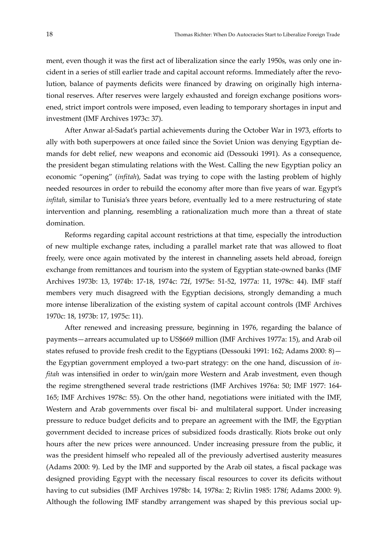ment, even though it was the first act of liberalization since the early 1950s, was only one incident in a series of still earlier trade and capital account reforms. Immediately after the revolution, balance of payments deficits were financed by drawing on originally high interna‐ tional reserves. After reserves were largely exhausted and foreign exchange positions worsened, strict import controls were imposed, even leading to temporary shortages in input and investment (IMF Archives 1973c: 37).

After Anwar al‐Sadat's partial achievements during the October War in 1973, efforts to ally with both superpowers at once failed since the Soviet Union was denying Egyptian de‐ mands for debt relief, new weapons and economic aid (Dessouki 1991). As a consequence, the president began stimulating relations with the West. Calling the new Egyptian policy an economic "opening" (*infitah*), Sadat was trying to cope with the lasting problem of highly needed resources in order to rebuild the economy after more than five years of war. Egypt's *infitah*, similar to Tunisia's three years before, eventually led to a mere restructuring of state intervention and planning, resembling a rationalization much more than a threat of state domination.

Reforms regarding capital account restrictions at that time, especially the introduction of new multiple exchange rates, including a parallel market rate that was allowed to float freely, were once again motivated by the interest in channeling assets held abroad, foreign exchange from remittances and tourism into the system of Egyptian state-owned banks (IMF Archives 1973b: 13, 1974b: 17‐18, 1974c: 72f, 1975e: 51‐52, 1977a: 11, 1978c: 44). IMF staff members very much disagreed with the Egyptian decisions, strongly demanding a much more intense liberalization of the existing system of capital account controls (IMF Archives 1970c: 18, 1973b: 17, 1975c: 11).

After renewed and increasing pressure, beginning in 1976, regarding the balance of payments—arrears accumulated up to US\$669 million (IMF Archives 1977a: 15), and Arab oil states refused to provide fresh credit to the Egyptians (Dessouki 1991: 162; Adams 2000: 8) the Egyptian government employed a two‐part strategy: on the one hand, discussion of *in‐ fitah* was intensified in order to win/gain more Western and Arab investment, even though the regime strengthened several trade restrictions (IMF Archives 1976a: 50; IMF 1977: 164‐ 165; IMF Archives 1978c: 55). On the other hand, negotiations were initiated with the IMF, Western and Arab governments over fiscal bi- and multilateral support. Under increasing pressure to reduce budget deficits and to prepare an agreement with the IMF, the Egyptian government decided to increase prices of subsidized foods drastically. Riots broke out only hours after the new prices were announced. Under increasing pressure from the public, it was the president himself who repealed all of the previously advertised austerity measures (Adams 2000: 9). Led by the IMF and supported by the Arab oil states, a fiscal package was designed providing Egypt with the necessary fiscal resources to cover its deficits without having to cut subsidies (IMF Archives 1978b: 14, 1978a: 2; Rivlin 1985: 178f; Adams 2000: 9). Although the following IMF standby arrangement was shaped by this previous social up‐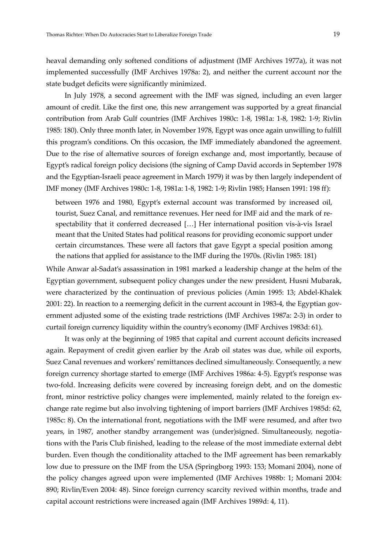heaval demanding only softened conditions of adjustment (IMF Archives 1977a), it was not implemented successfully (IMF Archives 1978a: 2), and neither the current account nor the state budget deficits were significantly minimized.

In July 1978, a second agreement with the IMF was signed, including an even larger amount of credit. Like the first one, this new arrangement was supported by a great financial contribution from Arab Gulf countries (IMF Archives 1980c: 1‐8, 1981a: 1‐8, 1982: 1‐9; Rivlin 1985: 180). Only three month later, in November 1978, Egypt was once again unwilling to fulfill this program's conditions. On this occasion, the IMF immediately abandoned the agreement. Due to the rise of alternative sources of foreign exchange and, most importantly, because of Egypt's radical foreign policy decisions (the signing of Camp David accords in September 1978 and the Egyptian‐Israeli peace agreement in March 1979) it was by then largely independent of IMF money (IMF Archives 1980c: 1‐8, 1981a: 1‐8, 1982: 1‐9; Rivlin 1985; Hansen 1991: 198 ff):

between 1976 and 1980, Egypt's external account was transformed by increased oil, tourist, Suez Canal, and remittance revenues. Her need for IMF aid and the mark of re‐ spectability that it conferred decreased […] Her international position vis‐à‐vis Israel meant that the United States had political reasons for providing economic support under certain circumstances. These were all factors that gave Egypt a special position among the nations that applied for assistance to the IMF during the 1970s. (Rivlin 1985: 181)

While Anwar al‐Sadat's assassination in 1981 marked a leadership change at the helm of the Egyptian government, subsequent policy changes under the new president, Husni Mubarak, were characterized by the continuation of previous policies (Amin 1995: 13; Abdel‐Khalek 2001: 22). In reaction to a reemerging deficit in the current account in 1983-4, the Egyptian government adjusted some of the existing trade restrictions (IMF Archives 1987a: 2‐3) in order to curtail foreign currency liquidity within the country's economy (IMF Archives 1983d: 61).

It was only at the beginning of 1985 that capital and current account deficits increased again. Repayment of credit given earlier by the Arab oil states was due, while oil exports, Suez Canal revenues and workers' remittances declined simultaneously. Consequently, a new foreign currency shortage started to emerge (IMF Archives 1986a: 4‐5). Egypt's response was two‐fold. Increasing deficits were covered by increasing foreign debt, and on the domestic front, minor restrictive policy changes were implemented, mainly related to the foreign ex‐ change rate regime but also involving tightening of import barriers (IMF Archives 1985d: 62, 1985c: 8). On the international front, negotiations with the IMF were resumed, and after two years, in 1987, another standby arrangement was (under)signed. Simultaneously, negotia‐ tions with the Paris Club finished, leading to the release of the most immediate external debt burden. Even though the conditionality attached to the IMF agreement has been remarkably low due to pressure on the IMF from the USA (Springborg 1993: 153; Momani 2004), none of the policy changes agreed upon were implemented (IMF Archives 1988b: 1; Momani 2004: 890; Rivlin/Even 2004: 48). Since foreign currency scarcity revived within months, trade and capital account restrictions were increased again (IMF Archives 1989d: 4, 11).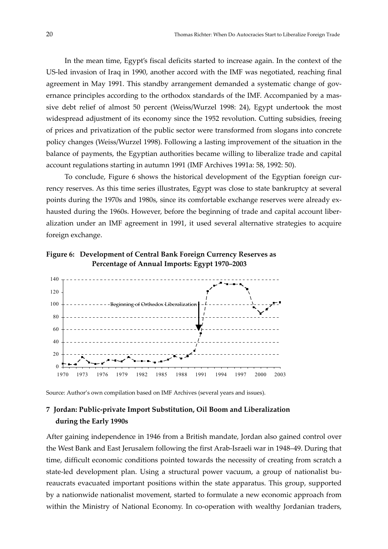In the mean time, Egypt's fiscal deficits started to increase again. In the context of the US‐led invasion of Iraq in 1990, another accord with the IMF was negotiated, reaching final agreement in May 1991. This standby arrangement demanded a systematic change of governance principles according to the orthodox standards of the IMF. Accompanied by a massive debt relief of almost 50 percent (Weiss/Wurzel 1998: 24), Egypt undertook the most widespread adjustment of its economy since the 1952 revolution. Cutting subsidies, freeing of prices and privatization of the public sector were transformed from slogans into concrete policy changes (Weiss/Wurzel 1998). Following a lasting improvement of the situation in the balance of payments, the Egyptian authorities became willing to liberalize trade and capital account regulations starting in autumn 1991 (IMF Archives 1991a: 58, 1992: 50).

To conclude, Figure 6 shows the historical development of the Egyptian foreign currency reserves. As this time series illustrates, Egypt was close to state bankruptcy at several points during the 1970s and 1980s, since its comfortable exchange reserves were already ex‐ hausted during the 1960s. However, before the beginning of trade and capital account liberalization under an IMF agreement in 1991, it used several alternative strategies to acquire foreign exchange.





Source: Author's own compilation based on IMF Archives (several years and issues).

# **7 Jordan: Public‐private Import Substitution, Oil Boom and Liberalization during the Early 1990s**

After gaining independence in 1946 from a British mandate, Jordan also gained control over the West Bank and East Jerusalem following the first Arab‐Israeli war in 1948–49. During that time, difficult economic conditions pointed towards the necessity of creating from scratch a state-led development plan. Using a structural power vacuum, a group of nationalist bureaucrats evacuated important positions within the state apparatus. This group, supported by a nationwide nationalist movement, started to formulate a new economic approach from within the Ministry of National Economy. In co-operation with wealthy Jordanian traders,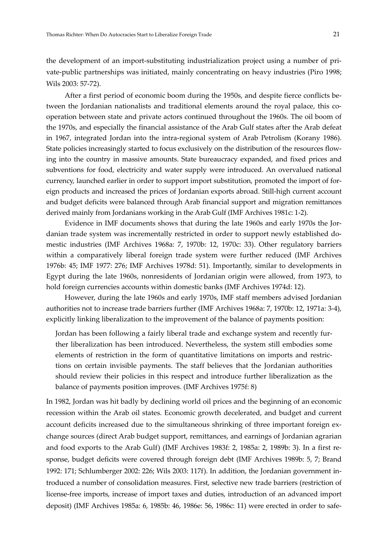the development of an import-substituting industrialization project using a number of private-public partnerships was initiated, mainly concentrating on heavy industries (Piro 1998; Wils 2003: 57-72).

After a first period of economic boom during the 1950s, and despite fierce conflicts be‐ tween the Jordanian nationalists and traditional elements around the royal palace, this cooperation between state and private actors continued throughout the 1960s. The oil boom of the 1970s, and especially the financial assistance of the Arab Gulf states after the Arab defeat in 1967, integrated Jordan into the intra-regional system of Arab Petrolism (Korany 1986). State policies increasingly started to focus exclusively on the distribution of the resources flowing into the country in massive amounts. State bureaucracy expanded, and fixed prices and subventions for food, electricity and water supply were introduced. An overvalued national currency, launched earlier in order to support import substitution, promoted the import of foreign products and increased the prices of Jordanian exports abroad. Still‐high current account and budget deficits were balanced through Arab financial support and migration remittances derived mainly from Jordanians working in the Arab Gulf (IMF Archives 1981c: 1‐2).

Evidence in IMF documents shows that during the late 1960s and early 1970s the Jordanian trade system was incrementally restricted in order to support newly established do‐ mestic industries (IMF Archives 1968a: 7, 1970b: 12, 1970c: 33). Other regulatory barriers within a comparatively liberal foreign trade system were further reduced (IMF Archives 1976b: 45; IMF 1977: 276; IMF Archives 1978d: 51). Importantly, similar to developments in Egypt during the late 1960s, nonresidents of Jordanian origin were allowed, from 1973, to hold foreign currencies accounts within domestic banks (IMF Archives 1974d: 12).

However, during the late 1960s and early 1970s, IMF staff members advised Jordanian authorities not to increase trade barriers further (IMF Archives 1968a: 7, 1970b: 12, 1971a: 3‐4), explicitly linking liberalization to the improvement of the balance of payments position:

Jordan has been following a fairly liberal trade and exchange system and recently fur‐ ther liberalization has been introduced. Nevertheless, the system still embodies some elements of restriction in the form of quantitative limitations on imports and restric‐ tions on certain invisible payments. The staff believes that the Jordanian authorities should review their policies in this respect and introduce further liberalization as the balance of payments position improves. (IMF Archives 1975f: 8)

In 1982, Jordan was hit badly by declining world oil prices and the beginning of an economic recession within the Arab oil states. Economic growth decelerated, and budget and current account deficits increased due to the simultaneous shrinking of three important foreign ex‐ change sources (direct Arab budget support, remittances, and earnings of Jordanian agrarian and food exports to the Arab Gulf) (IMF Archives 1983f: 2, 1985a: 2, 1989b: 3). In a first response, budget deficits were covered through foreign debt (IMF Archives 1989b: 5, 7; Brand 1992: 171; Schlumberger 2002: 226; Wils 2003: 117f). In addition, the Jordanian government in‐ troduced a number of consolidation measures. First, selective new trade barriers (restriction of license‐free imports, increase of import taxes and duties, introduction of an advanced import deposit) (IMF Archives 1985a: 6, 1985b: 46, 1986e: 56, 1986c: 11) were erected in order to safe‐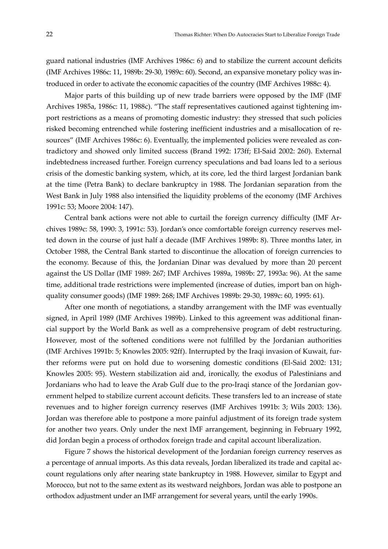guard national industries (IMF Archives 1986c: 6) and to stabilize the current account deficits (IMF Archives 1986c: 11, 1989b: 29‐30, 1989c: 60). Second, an expansive monetary policy was in‐ troduced in order to activate the economic capacities of the country (IMF Archives 1988c: 4).

Major parts of this building up of new trade barriers were opposed by the IMF (IMF Archives 1985a, 1986c: 11, 1988c). "The staff representatives cautioned against tightening im‐ port restrictions as a means of promoting domestic industry: they stressed that such policies risked becoming entrenched while fostering inefficient industries and a misallocation of re‐ sources" (IMF Archives 1986c: 6). Eventually, the implemented policies were revealed as contradictory and showed only limited success (Brand 1992: 173ff; El‐Said 2002: 260). External indebtedness increased further. Foreign currency speculations and bad loans led to a serious crisis of the domestic banking system, which, at its core, led the third largest Jordanian bank at the time (Petra Bank) to declare bankruptcy in 1988. The Jordanian separation from the West Bank in July 1988 also intensified the liquidity problems of the economy (IMF Archives 1991c: 53; Moore 2004: 147).

Central bank actions were not able to curtail the foreign currency difficulty (IMF Ar‐ chives 1989c: 58, 1990: 3, 1991c: 53). Jordan's once comfortable foreign currency reserves mel‐ ted down in the course of just half a decade (IMF Archives 1989b: 8). Three months later, in October 1988, the Central Bank started to discontinue the allocation of foreign currencies to the economy. Because of this, the Jordanian Dinar was devalued by more than 20 percent against the US Dollar (IMF 1989: 267; IMF Archives 1989a, 1989b: 27, 1993a: 96). At the same time, additional trade restrictions were implemented (increase of duties, import ban on highquality consumer goods) (IMF 1989: 268; IMF Archives 1989b: 29‐30, 1989c: 60, 1995: 61).

After one month of negotiations, a standby arrangement with the IMF was eventually signed, in April 1989 (IMF Archives 1989b). Linked to this agreement was additional financial support by the World Bank as well as a comprehensive program of debt restructuring. However, most of the softened conditions were not fulfilled by the Jordanian authorities (IMF Archives 1991b: 5; Knowles 2005: 92ff). Interrupted by the Iraqi invasion of Kuwait, fur‐ ther reforms were put on hold due to worsening domestic conditions (El‐Said 2002: 131; Knowles 2005: 95). Western stabilization aid and, ironically, the exodus of Palestinians and Jordanians who had to leave the Arab Gulf due to the pro‐Iraqi stance of the Jordanian gov‐ ernment helped to stabilize current account deficits. These transfers led to an increase of state revenues and to higher foreign currency reserves (IMF Archives 1991b: 3; Wils 2003: 136). Jordan was therefore able to postpone a more painful adjustment of its foreign trade system for another two years. Only under the next IMF arrangement, beginning in February 1992, did Jordan begin a process of orthodox foreign trade and capital account liberalization.

Figure 7 shows the historical development of the Jordanian foreign currency reserves as a percentage of annual imports. As this data reveals, Jordan liberalized its trade and capital ac‐ count regulations only after nearing state bankruptcy in 1988. However, similar to Egypt and Morocco, but not to the same extent as its westward neighbors, Jordan was able to postpone an orthodox adjustment under an IMF arrangement for several years, until the early 1990s.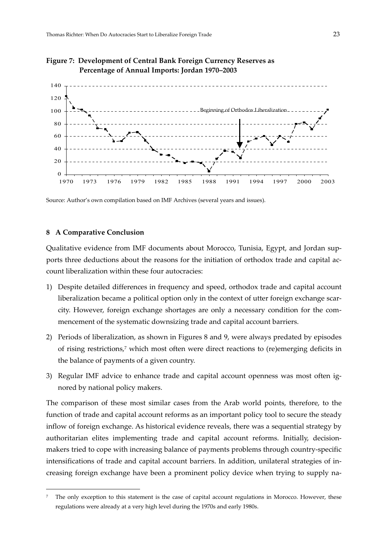

## **Figure 7: Development of Central Bank Foreign Currency Reserves as Percentage of Annual Imports: Jordan 1970–2003**

Source: Author's own compilation based on IMF Archives (several years and issues).

#### **8 A Comparative Conclusion**

Qualitative evidence from IMF documents about Morocco, Tunisia, Egypt, and Jordan sup‐ ports three deductions about the reasons for the initiation of orthodox trade and capital account liberalization within these four autocracies:

- 1) Despite detailed differences in frequency and speed, orthodox trade and capital account liberalization became a political option only in the context of utter foreign exchange scarcity. However, foreign exchange shortages are only a necessary condition for the com‐ mencement of the systematic downsizing trade and capital account barriers.
- 2) Periods of liberalization, as shown in Figures 8 and 9, were always predated by episodes of rising restrictions,7 which most often were direct reactions to (re)emerging deficits in the balance of payments of a given country.
- 3) Regular IMF advice to enhance trade and capital account openness was most often ignored by national policy makers.

The comparison of these most similar cases from the Arab world points, therefore, to the function of trade and capital account reforms as an important policy tool to secure the steady inflow of foreign exchange. As historical evidence reveals, there was a sequential strategy by authoritarian elites implementing trade and capital account reforms. Initially, decisionmakers tried to cope with increasing balance of payments problems through country‐specific intensifications of trade and capital account barriers. In addition, unilateral strategies of in‐ creasing foreign exchange have been a prominent policy device when trying to supply na‐

The only exception to this statement is the case of capital account regulations in Morocco. However, these regulations were already at a very high level during the 1970s and early 1980s.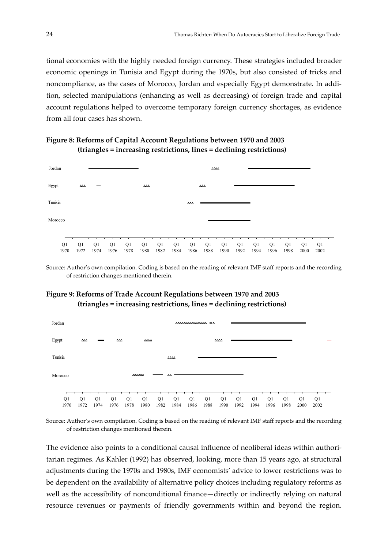tional economies with the highly needed foreign currency. These strategies included broader economic openings in Tunisia and Egypt during the 1970s, but also consisted of tricks and noncompliance, as the cases of Morocco, Jordan and especially Egypt demonstrate. In addi‐ tion, selected manipulations (enhancing as well as decreasing) of foreign trade and capital account regulations helped to overcome temporary foreign currency shortages, as evidence from all four cases has shown.



# **Figure 8: Reforms of Capital Account Regulations between 1970 and 2003 (triangles = increasing restrictions, lines = declining restrictions)**

Source: Author's own compilation. Coding is based on the reading of relevant IMF staff reports and the recording of restriction changes mentioned therein.

**Figure 9: Reforms of Trade Account Regulations between 1970 and 2003 (triangles = increasing restrictions, lines = declining restrictions)**



Source: Author's own compilation. Coding is based on the reading of relevant IMF staff reports and the recording of restriction changes mentioned therein.

The evidence also points to a conditional causal influence of neoliberal ideas within authoritarian regimes. As Kahler (1992) has observed, looking, more than 15 years ago, at structural adjustments during the 1970s and 1980s, IMF economists' advice to lower restrictions was to be dependent on the availability of alternative policy choices including regulatory reforms as well as the accessibility of nonconditional finance—directly or indirectly relying on natural resource revenues or payments of friendly governments within and beyond the region.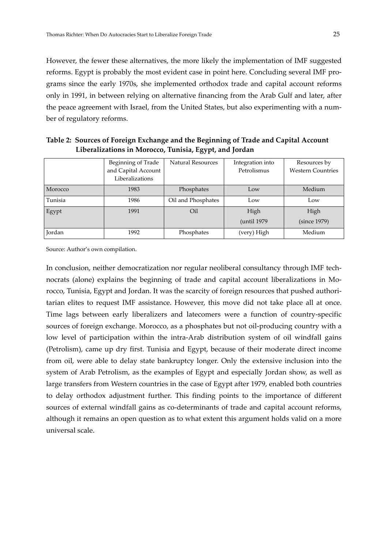However, the fewer these alternatives, the more likely the implementation of IMF suggested reforms. Egypt is probably the most evident case in point here. Concluding several IMF pro‐ grams since the early 1970s, she implemented orthodox trade and capital account reforms only in 1991, in between relying on alternative financing from the Arab Gulf and later, after the peace agreement with Israel, from the United States, but also experimenting with a number of regulatory reforms.

|         | Beginning of Trade<br>and Capital Account<br>Liberalizations | <b>Natural Resources</b> | Integration into<br>Petrolismus | Resources by<br><b>Western Countries</b> |
|---------|--------------------------------------------------------------|--------------------------|---------------------------------|------------------------------------------|
| Morocco | 1983                                                         | Phosphates               | Low                             | Medium                                   |
|         |                                                              |                          |                                 |                                          |
| Tunisia | 1986                                                         | Oil and Phosphates       | Low                             | Low                                      |
| Egypt   | 1991                                                         | Oil                      | High                            | High                                     |
|         |                                                              |                          | (until 1979)                    | (since 1979)                             |
| Jordan  | 1992                                                         | Phosphates               | (very) High                     | Medium                                   |

**Table 2: Sources of Foreign Exchange and the Beginning of Trade and Capital Account Liberalizations in Morocco, Tunisia, Egypt, and Jordan**

Source: Author's own compilation.

In conclusion, neither democratization nor regular neoliberal consultancy through IMF technocrats (alone) explains the beginning of trade and capital account liberalizations in Mo– rocco, Tunisia, Egypt and Jordan. It was the scarcity of foreign resources that pushed authoritarian elites to request IMF assistance. However, this move did not take place all at once. Time lags between early liberalizers and latecomers were a function of country‐specific sources of foreign exchange. Morocco, as a phosphates but not oil‐producing country with a low level of participation within the intra‐Arab distribution system of oil windfall gains (Petrolism), came up dry first. Tunisia and Egypt, because of their moderate direct income from oil, were able to delay state bankruptcy longer. Only the extensive inclusion into the system of Arab Petrolism, as the examples of Egypt and especially Jordan show, as well as large transfers from Western countries in the case of Egypt after 1979, enabled both countries to delay orthodox adjustment further. This finding points to the importance of different sources of external windfall gains as co-determinants of trade and capital account reforms, although it remains an open question as to what extent this argument holds valid on a more universal scale.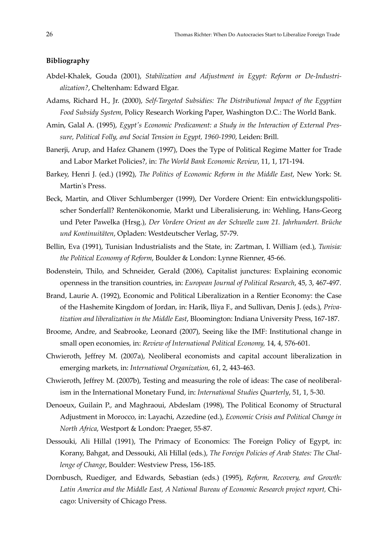### **Bibliography**

- Abdel‐Khalek, Gouda (2001), *Stabilization and Adjustment in Egypt: Reform or De‐Industri‐ alization?*, Cheltenham: Edward Elgar.
- Adams, Richard H., Jr. (2000), *Self‐Targeted Subsidies: The Distributional Impact of the Egyptian Food Subsidy System*, Policy Research Working Paper, Washington D.C.: The World Bank.
- Amin, Galal A. (1995), *Egyptʹs Economic Predicament: a Study in the Interaction of External Pres‐ sure, Political Folly, and Social Tension in Egypt, 1960‐1990*, Leiden: Brill.
- Banerji, Arup, and Hafez Ghanem (1997), Does the Type of Political Regime Matter for Trade and Labor Market Policies?, in: *The World Bank Economic Review*, 11, 1, 171‐194.
- Barkey, Henri J. (ed.) (1992), *The Politics of Economic Reform in the Middle East*, New York: St. Martin's Press.
- Beck, Martin, and Oliver Schlumberger (1999), Der Vordere Orient: Ein entwicklungspolitischer Sonderfall? Rentenökonomie, Markt und Liberalisierung, in: Wehling, Hans‐Georg und Peter Pawelka (Hrsg.), *Der Vordere Orient an der Schwelle zum 21. Jahrhundert. Brüche und Kontinuitäten*, Opladen: Westdeutscher Verlag, 57‐79.
- Bellin, Eva (1991), Tunisian Industrialists and the State, in: Zartman, I. William (ed.), *Tunisia: the Political Economy of Reform*, Boulder & London: Lynne Rienner, 45‐66.
- Bodenstein, Thilo, and Schneider, Gerald (2006), Capitalist junctures: Explaining economic openness in the transition countries, in: *European Journal of Political Research*, 45, 3, 467‐497.
- Brand, Laurie A. (1992), Economic and Political Liberalization in a Rentier Economy: the Case of the Hashemite Kingdom of Jordan, in: Harik, Iliya F., and Sullivan, Denis J. (eds.), *Priva‐ tization and liberalization in the Middle East*, Bloomington: Indiana University Press, 167‐187.
- Broome, Andre, and Seabrooke, Leonard (2007), Seeing like the IMF: Institutional change in small open economies, in: *Review of International Political Economy,* 14, 4, 576‐601.
- Chwieroth, Jeffrey M. (2007a), Neoliberal economists and capital account liberalization in emerging markets, in: *International Organization,* 61, 2, 443‐463.
- Chwieroth, Jeffrey M. (2007b), Testing and measuring the role of ideas: The case of neoliberal‐ ism in the International Monetary Fund, in: *International Studies Quarterly*, 51, 1, 5‐30.
- Denoeux, Guilain P., and Maghraoui, Abdeslam (1998), The Political Economy of Structural Adjustment in Morocco, in: Layachi, Azzedine (ed.), *Economic Crisis and Political Change in North Africa*, Westport & London: Praeger, 55‐87.
- Dessouki, Ali Hillal (1991), The Primacy of Economics: The Foreign Policy of Egypt, in: Korany, Bahgat, and Dessouki, Ali Hillal (eds.), *The Foreign Policies of Arab States: The Chal‐ lenge of Change*, Boulder: Westview Press, 156‐185.
- Dornbusch, Ruediger, and Edwards, Sebastian (eds.) (1995), *Reform, Recovery, and Growth: Latin America and the Middle East, A National Bureau of Economic Research project report,* Chi‐ cago: University of Chicago Press.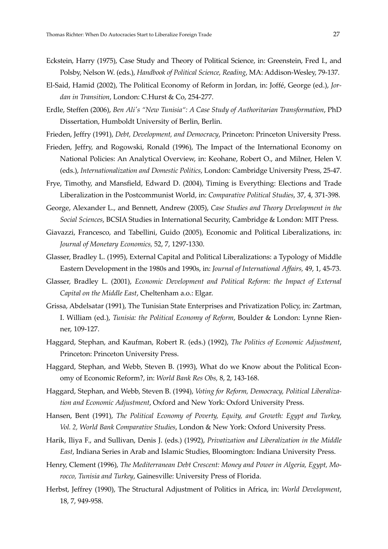- Eckstein, Harry (1975), Case Study and Theory of Political Science, in: Greenstein, Fred I., and Polsby, Nelson W. (eds.), *Handbook of Political Science, Reading*, MA: Addison‐Wesley, 79‐137.
- El‐Said, Hamid (2002), The Political Economy of Reform in Jordan, in: Joffé, George (ed.), *Jor‐ dan in Transition*, London: C.Hurst & Co, 254‐277.
- Erdle, Steffen (2006), *Ben Aliʹs "New Tunisia": A Case Study of Authoritarian Transformation*, PhD Dissertation, Humboldt University of Berlin, Berlin.
- Frieden, Jeffry (1991), *Debt, Development, and Democracy*, Princeton: Princeton University Press.
- Frieden, Jeffry, and Rogowski, Ronald (1996), The Impact of the International Economy on National Policies: An Analytical Overview, in: Keohane, Robert O., and Milner, Helen V. (eds.), *Internationalization and Domestic Politics*, London: Cambridge University Press, 25‐47.
- Frye, Timothy, and Mansfield, Edward D. (2004), Timing is Everything: Elections and Trade Liberalization in the Postcommunist World, in: *Comparative Political Studies*, 37, 4, 371‐398.
- George, Alexander L., and Bennett, Andrew (2005), *Case Studies and Theory Development in the Social Sciences*, BCSIA Studies in International Security, Cambridge & London: MIT Press.
- Giavazzi, Francesco, and Tabellini, Guido (2005), Economic and Political Liberalizations, in: *Journal of Monetary Economics,* 52, 7, 1297‐1330.
- Glasser, Bradley L. (1995), External Capital and Political Liberalizations: a Typology of Middle Eastern Development in the 1980s and 1990s, in: *Journal of International Affairs,* 49, 1, 45‐73.
- Glasser, Bradley L. (2001), *Economic Development and Political Reform: the Impact of External Capital on the Middle East*, Cheltenham a.o.: Elgar.
- Grissa, Abdelsatar (1991), The Tunisian State Enterprises and Privatization Policy, in: Zartman, I. William (ed.), *Tunisia: the Political Economy of Reform*, Boulder & London: Lynne Rien‐ ner, 109‐127.
- Haggard, Stephan, and Kaufman, Robert R. (eds.) (1992), *The Politics of Economic Adjustment*, Princeton: Princeton University Press.
- Haggard, Stephan, and Webb, Steven B. (1993), What do we Know about the Political Economy of Economic Reform?, in: *World Bank Res Obs,* 8, 2, 143‐168.
- Haggard, Stephan, and Webb, Steven B. (1994), *Voting for Reform, Democracy, Political Liberaliza‐ tion and Economic Adjustment*, Oxford and New York: Oxford University Press.
- Hansen, Bent (1991), *The Political Economy of Poverty, Equity, and Growth: Egypt and Turkey, Vol. 2, World Bank Comparative Studies*, London & New York: Oxford University Press.
- Harik, Iliya F., and Sullivan, Denis J. (eds.) (1992), *Privatization and Liberalization in the Middle East*, Indiana Series in Arab and Islamic Studies, Bloomington: Indiana University Press.
- Henry, Clement (1996), *The Mediterranean Debt Crescent: Money and Power in Algeria, Egypt, Mo‐ rocco, Tunisia and Turkey*, Gainesville: University Press of Florida.
- Herbst, Jeffrey (1990), The Structural Adjustment of Politics in Africa, in: *World Development*, 18, 7, 949‐958.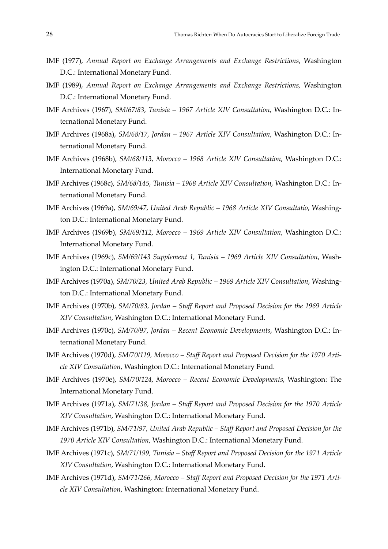- IMF (1977), *Annual Report on Exchange Arrangements and Exchange Restrictions*, Washington D.C.: International Monetary Fund.
- IMF (1989), *Annual Report on Exchange Arrangements and Exchange Restrictions,* Washington D.C.: International Monetary Fund.
- IMF Archives (1967), *SM/67/83, Tunisia – 1967 Article XIV Consultation*, Washington D.C.: In‐ ternational Monetary Fund.
- IMF Archives (1968a), *SM/68/17, Jordan – 1967 Article XIV Consultation*, Washington D.C.: In‐ ternational Monetary Fund.
- IMF Archives (1968b), *SM/68/113, Morocco – 1968 Article XIV Consultation*, Washington D.C.: International Monetary Fund.
- IMF Archives (1968c), *SM/68/145, Tunisia – 1968 Article XIV Consultation*, Washington D.C.: In‐ ternational Monetary Fund.
- IMF Archives (1969a), *SM/69/47, United Arab Republic – 1968 Article XIV Consultatio*, Washing‐ ton D.C.: International Monetary Fund.
- IMF Archives (1969b), *SM/69/112, Morocco – 1969 Article XIV Consultation*, Washington D.C.: International Monetary Fund.
- IMF Archives (1969c), *SM/69/143 Supplement 1, Tunisia – 1969 Article XIV Consultation*, Wash‐ ington D.C.: International Monetary Fund.
- IMF Archives (1970a), *SM/70/23, United Arab Republic – 1969 Article XIV Consultation*, Washing‐ ton D.C.: International Monetary Fund.
- IMF Archives (1970b), *SM/70/83, Jordan – Staff Report and Proposed Decision for the 1969 Article XIV Consultation*, Washington D.C.: International Monetary Fund.
- IMF Archives (1970c), *SM/70/97, Jordan – Recent Economic Developments*, Washington D.C.: In‐ ternational Monetary Fund.
- IMF Archives (1970d), *SM/70/119, Morocco – Staff Report and Proposed Decision for the 1970 Arti‐ cle XIV Consultation*, Washington D.C.: International Monetary Fund.
- IMF Archives (1970e), *SM/70/124, Morocco – Recent Economic Developments*, Washington: The International Monetary Fund.
- IMF Archives (1971a), *SM/71/38, Jordan – Staff Report and Proposed Decision for the 1970 Article XIV Consultation*, Washington D.C.: International Monetary Fund.
- IMF Archives (1971b), *SM/71/97, United Arab Republic – Staff Report and Proposed Decision for the 1970 Article XIV Consultation*, Washington D.C.: International Monetary Fund.
- IMF Archives (1971c), *SM/71/199, Tunisia – Staff Report and Proposed Decision for the 1971 Article XIV Consultation*, Washington D.C.: International Monetary Fund.
- IMF Archives (1971d), *SM/71/266, Morocco – Staff Report and Proposed Decision for the 1971 Arti‐ cle XIV Consultation*, Washington: International Monetary Fund.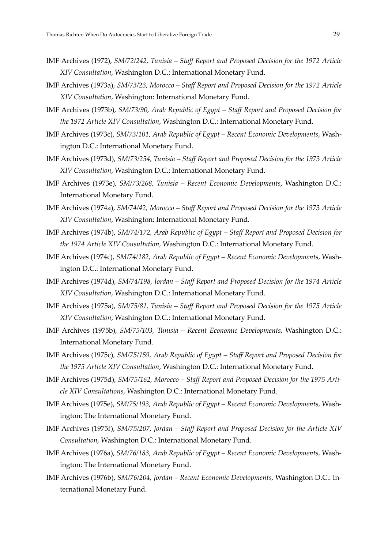- IMF Archives (1972), *SM/72/242, Tunisia – Staff Report and Proposed Decision for the 1972 Article XIV Consultation*, Washington D.C.: International Monetary Fund.
- IMF Archives (1973a), *SM/73/23, Morocco – Staff Report and Proposed Decision for the 1972 Article XIV Consultation*, Washington: International Monetary Fund.
- IMF Archives (1973b), *SM/73/90, Arab Republic of Egypt – Staff Report and Proposed Decision for the 1972 Article XIV Consultation*, Washington D.C.: International Monetary Fund.
- IMF Archives (1973c), *SM/73/101, Arab Republic of Egypt – Recent Economic Developments*, Wash‐ ington D.C.: International Monetary Fund.
- IMF Archives (1973d), *SM/73/254, Tunisia – Staff Report and Proposed Decision for the 1973 Article XIV Consultation*, Washington D.C.: International Monetary Fund.
- IMF Archives (1973e), *SM/73/268, Tunisia – Recent Economic Developments*, Washington D.C.: International Monetary Fund.
- IMF Archives (1974a), *SM/74/42, Morocco – Staff Report and Proposed Decision for the 1973 Article XIV Consultation*, Washington: International Monetary Fund.
- IMF Archives (1974b), *SM/74/172, Arab Republic of Egypt – Staff Report and Proposed Decision for the 1974 Article XIV Consultation*, Washington D.C.: International Monetary Fund.
- IMF Archives (1974c), *SM/74/182, Arab Republic of Egypt – Recent Economic Developments*, Wash‐ ington D.C.: International Monetary Fund.
- IMF Archives (1974d), *SM/74/198, Jordan – Staff Report and Proposed Decision for the 1974 Article XIV Consultation*, Washington D.C.: International Monetary Fund.
- IMF Archives (1975a), *SM/75/81, Tunisia – Staff Report and Proposed Decision for the 1975 Article XIV Consultation*, Washington D.C.: International Monetary Fund.
- IMF Archives (1975b), *SM/75/103, Tunisia – Recent Economic Developments*, Washington D.C.: International Monetary Fund.
- IMF Archives (1975c), *SM/75/159, Arab Republic of Egypt – Staff Report and Proposed Decision for the 1975 Article XIV Consultation*, Washington D.C.: International Monetary Fund.
- IMF Archives (1975d), *SM/75/162, Morocco – Staff Report and Proposed Decision for the 1975 Arti‐ cle XIV Consultations*, Washington D.C.: International Monetary Fund.
- IMF Archives (1975e), *SM/75/193, Arab Republic of Egypt – Recent Economic Developments*, Wash‐ ington: The International Monetary Fund.
- IMF Archives (1975f), *SM/75/207, Jordan – Staff Report and Proposed Decision for the Article XIV Consultation*, Washington D.C.: International Monetary Fund.
- IMF Archives (1976a), *SM/76/183, Arab Republic of Egypt – Recent Economic Developments*, Wash‐ ington: The International Monetary Fund.
- IMF Archives (1976b), *SM/76/204, Jordan – Recent Economic Developments*, Washington D.C.: In‐ ternational Monetary Fund.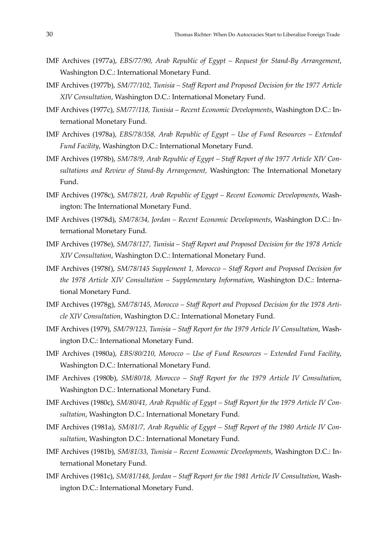- IMF Archives (1977a), *EBS/77/90, Arab Republic of Egypt – Request for Stand‐By Arrangement*, Washington D.C.: International Monetary Fund.
- IMF Archives (1977b), *SM/77/102, Tunisia – Staff Report and Proposed Decision for the 1977 Article XIV Consultation*, Washington D.C.: International Monetary Fund.
- IMF Archives (1977c), *SM/77/118, Tunisia – Recent Economic Developments*, Washington D.C.: In‐ ternational Monetary Fund.
- IMF Archives (1978a), *EBS/78/358, Arab Republic of Egypt – Use of Fund Resources – Extended Fund Facility*, Washington D.C.: International Monetary Fund.
- IMF Archives (1978b), *SM/78/9, Arab Republic of Egypt – Staff Report of the 1977 Article XIV Con‐ sultations and Review of Stand‐By Arrangement,* Washington: The International Monetary Fund.
- IMF Archives (1978c), *SM/78/21, Arab Republic of Egypt – Recent Economic Developments*, Wash‐ ington: The International Monetary Fund.
- IMF Archives (1978d), *SM/78/34, Jordan – Recent Economic Developments*, Washington D.C.: In‐ ternational Monetary Fund.
- IMF Archives (1978e), *SM/78/127, Tunisia – Staff Report and Proposed Decision for the 1978 Article XIV Consultation*, Washington D.C.: International Monetary Fund.
- IMF Archives (1978f), *SM/78/145 Supplement 1, Morocco – Staff Report and Proposed Decision for the 1978 Article XIV Consultation – Supplementary Information*, Washington D.C.: Interna‐ tional Monetary Fund.
- IMF Archives (1978g), *SM/78/145, Morocco – Staff Report and Proposed Decision for the 1978 Arti‐ cle XIV Consultation*, Washington D.C.: International Monetary Fund.
- IMF Archives (1979), *SM/79/123, Tunisia – Staff Report for the 1979 Article IV Consultation*, Wash‐ ington D.C.: International Monetary Fund.
- IMF Archives (1980a), *EBS/80/210, Morocco – Use of Fund Resources – Extended Fund Facility*, Washington D.C.: International Monetary Fund.
- IMF Archives (1980b), *SM/80/18, Morocco – Staff Report for the 1979 Article IV Consultation*, Washington D.C.: International Monetary Fund.
- IMF Archives (1980c), *SM/80/41, Arab Republic of Egypt – Staff Report for the 1979 Article IV Con‐ sultation*, Washington D.C.: International Monetary Fund.
- IMF Archives (1981a), *SM/81/7, Arab Republic of Egypt – Staff Report of the 1980 Article IV Con‐ sultation*, Washington D.C.: International Monetary Fund.
- IMF Archives (1981b), *SM/81/33, Tunisia – Recent Economic Developments*, Washington D.C.: In‐ ternational Monetary Fund.
- IMF Archives (1981c), *SM/81/148, Jordan – Staff Report for the 1981 Article IV Consultation*, Wash‐ ington D.C.: International Monetary Fund.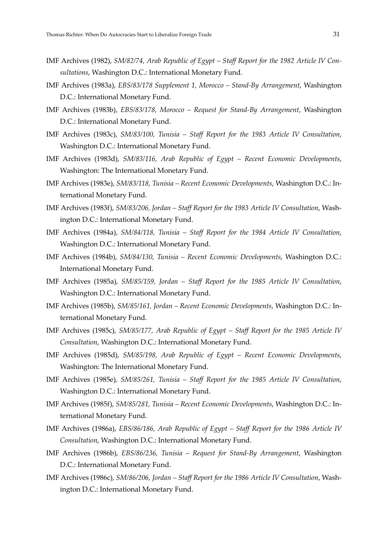- IMF Archives (1982), *SM/82/74, Arab Republic of Egypt – Staff Report for the 1982 Article IV Con‐ sultations*, Washington D.C.: International Monetary Fund.
- IMF Archives (1983a), *EBS/83/178 Supplement 1, Morocco – Stand‐By Arrangement*, Washington D.C.: International Monetary Fund.
- IMF Archives (1983b), *EBS/83/178, Morocco – Request for Stand‐By Arrangement*, Washington D.C.: International Monetary Fund.
- IMF Archives (1983c), *SM/83/100, Tunisia – Staff Report for the 1983 Article IV Consultation*, Washington D.C.: International Monetary Fund.
- IMF Archives (1983d), *SM/83/116, Arab Republic of Egypt – Recent Economic Developments*, Washington: The International Monetary Fund.
- IMF Archives (1983e), *SM/83/118, Tunisia – Recent Economic Developments*, Washington D.C.: In‐ ternational Monetary Fund.
- IMF Archives (1983f), *SM/83/206, Jordan – Staff Report for the 1983 Article IV Consultation*, Wash‐ ington D.C.: International Monetary Fund.
- IMF Archives (1984a), *SM/84/118, Tunisia – Staff Report for the 1984 Article IV Consultation*, Washington D.C.: International Monetary Fund.
- IMF Archives (1984b), *SM/84/130, Tunisia – Recent Economic Developments*, Washington D.C.: International Monetary Fund.
- IMF Archives (1985a), *SM/85/159, Jordan – Staff Report for the 1985 Article IV Consultation*, Washington D.C.: International Monetary Fund.
- IMF Archives (1985b), *SM/85/161, Jordan – Recent Economic Developments*, Washington D.C.: In‐ ternational Monetary Fund.
- IMF Archives (1985c), *SM/85/177, Arab Republic of Egypt – Staff Report for the 1985 Article IV Consultation*, Washington D.C.: International Monetary Fund.
- IMF Archives (1985d), *SM/85/198, Arab Republic of Egypt – Recent Economic Developments*, Washington: The International Monetary Fund.
- IMF Archives (1985e), *SM/85/261, Tunisia – Staff Report for the 1985 Article IV Consultation*, Washington D.C.: International Monetary Fund.
- IMF Archives (1985f), *SM/85/281, Tunisia – Recent Economic Developments*, Washington D.C.: In‐ ternational Monetary Fund.
- IMF Archives (1986a), *EBS/86/186, Arab Republic of Egypt – Staff Report for the 1986 Article IV Consultation*, Washington D.C.: International Monetary Fund.
- IMF Archives (1986b), *EBS/86/236, Tunisia – Request for Stand‐By Arrangement*, Washington D.C.: International Monetary Fund.
- IMF Archives (1986c), *SM/86/206, Jordan – Staff Report for the 1986 Article IV Consultation*, Wash‐ ington D.C.: International Monetary Fund.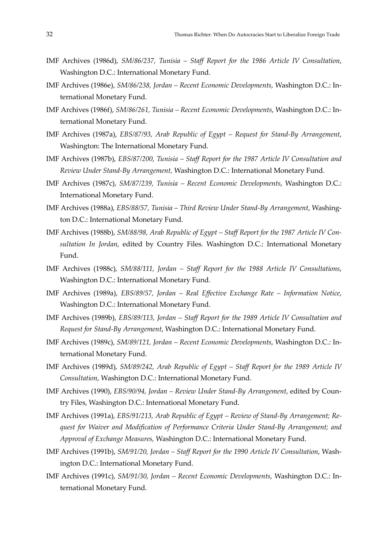- IMF Archives (1986d), *SM/86/237, Tunisia – Staff Report for the 1986 Article IV Consultation*, Washington D.C.: International Monetary Fund.
- IMF Archives (1986e), *SM/86/238, Jordan – Recent Economic Developments*, Washington D.C.: In‐ ternational Monetary Fund.
- IMF Archives (1986f), *SM/86/261, Tunisia – Recent Economic Developments*, Washington D.C.: In‐ ternational Monetary Fund.
- IMF Archives (1987a), *EBS/87/93, Arab Republic of Egypt – Request for Stand‐By Arrangement*, Washington: The International Monetary Fund.
- IMF Archives (1987b), *EBS/87/200, Tunisia – Staff Report for the 1987 Article IV Consultation and Review Under Stand‐By Arrangement,* Washington D.C.: International Monetary Fund.
- IMF Archives (1987c), *SM/87/239, Tunisia – Recent Economic Developments*, Washington D.C.: International Monetary Fund.
- IMF Archives (1988a), *EBS/88/57, Tunisia – Third Review Under Stand‐By Arrangement*, Washing‐ ton D.C.: International Monetary Fund.
- IMF Archives (1988b), *SM/88/98, Arab Republic of Egypt – Staff Report for the 1987 Article IV Con‐ sultation In Jordan*, edited by Country Files. Washington D.C.: International Monetary Fund.
- IMF Archives (1988c), *SM/88/111, Jordan – Staff Report for the 1988 Article IV Consultations*, Washington D.C.: International Monetary Fund.
- IMF Archives (1989a), *EBS/89/57, Jordan – Real Effective Exchange Rate – Information Notice*, Washington D.C.: International Monetary Fund.
- IMF Archives (1989b), *EBS/89/113, Jordan – Staff Report for the 1989 Article IV Consultation and Request for Stand‐By Arrangement*, Washington D.C.: International Monetary Fund.
- IMF Archives (1989c), *SM/89/121, Jordan – Recent Economic Developments*, Washington D.C.: In‐ ternational Monetary Fund.
- IMF Archives (1989d), *SM/89/242, Arab Republic of Egypt – Staff Report for the 1989 Article IV Consultation*, Washington D.C.: International Monetary Fund.
- IMF Archives (1990), *EBS/90/94, Jordan – Review Under Stand‐By Arrangement*, edited by Coun‐ try Files, Washington D.C.: International Monetary Fund.
- IMF Archives (1991a), *EBS/91/213, Arab Republic of Egypt – Review of Stand‐By Arrangement; Re‐ quest for Waiver and Modification of Performance Criteria Under Stand‐By Arrangement; and Approval of Exchange Measures,* Washington D.C.: International Monetary Fund.
- IMF Archives (1991b), *SM/91/20, Jordan – Staff Report for the 1990 Article IV Consultation*, Wash‐ ington D.C.: International Monetary Fund.
- IMF Archives (1991c), *SM/91/30, Jordan – Recent Economic Developments*, Washington D.C.: In‐ ternational Monetary Fund.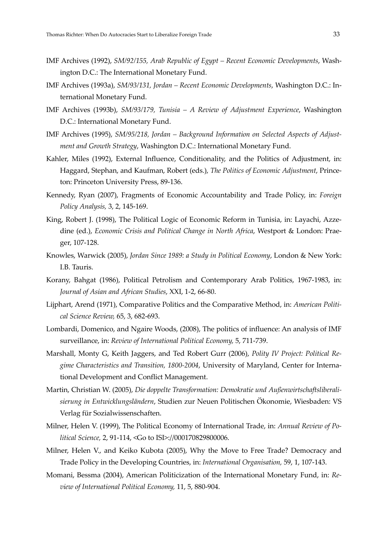- IMF Archives (1992), *SM/92/155, Arab Republic of Egypt – Recent Economic Developments*, Wash‐ ington D.C.: The International Monetary Fund.
- IMF Archives (1993a), *SM/93/131, Jordan – Recent Economic Developments*, Washington D.C.: In‐ ternational Monetary Fund.
- IMF Archives (1993b), *SM/93/179, Tunisia – A Review of Adjustment Experience*, Washington D.C.: International Monetary Fund.
- IMF Archives (1995), *SM/95/218, Jordan – Background Information on Selected Aspects of Adjust‐ ment and Growth Strategy*, Washington D.C.: International Monetary Fund.
- Kahler, Miles (1992), External Influence, Conditionality, and the Politics of Adjustment, in: Haggard, Stephan, and Kaufman, Robert (eds.), *The Politics of Economic Adjustment*, Prince‐ ton: Princeton University Press, 89‐136.
- Kennedy, Ryan (2007), Fragments of Economic Accountability and Trade Policy, in: *Foreign Policy Analysis,* 3, 2, 145‐169.
- King, Robert J. (1998), The Political Logic of Economic Reform in Tunisia, in: Layachi, Azzedine (ed.), *Economic Crisis and Political Change in North Africa*, Westport & London: Prae‐ ger, 107‐128.
- Knowles, Warwick (2005), *Jordan Since 1989: a Study in Political Economy*, London & New York: I.B. Tauris.
- Korany, Bahgat (1986), Political Petrolism and Contemporary Arab Politics, 1967‐1983, in: *Journal of Asian and African Studies*, XXI, 1‐2, 66‐80.
- Lijphart, Arend (1971), Comparative Politics and the Comparative Method, in: *American Politi‐ cal Science Review,* 65, 3, 682‐693.
- Lombardi, Domenico, and Ngaire Woods, (2008), The politics of influence: An analysis of IMF surveillance, in: *Review of International Political Economy,* 5, 711‐739.
- Marshall, Monty G, Keith Jaggers, and Ted Robert Gurr (2006), *Polity IV Project: Political Re‐ gime Characteristics and Transition, 1800‐2004*, University of Maryland, Center for Interna‐ tional Development and Conflict Management.
- Martin, Christian W. (2005), *Die doppelte Transformation: Demokratie und Außenwirtschaftsliberali‐ sierung in Entwicklungsländern*, Studien zur Neuen Politischen Ökonomie, Wiesbaden: VS Verlag für Sozialwissenschaften.
- Milner, Helen V. (1999), The Political Economy of International Trade, in: *Annual Review of Po‐ litical Science,* 2, 91‐114, <Go to ISI>://000170829800006.
- Milner, Helen V., and Keiko Kubota (2005), Why the Move to Free Trade? Democracy and Trade Policy in the Developing Countries, in: *International Organisation,* 59, 1, 107‐143.
- Momani, Bessma (2004), American Politicization of the International Monetary Fund, in: *Re‐ view of International Political Economy,* 11, 5, 880‐904.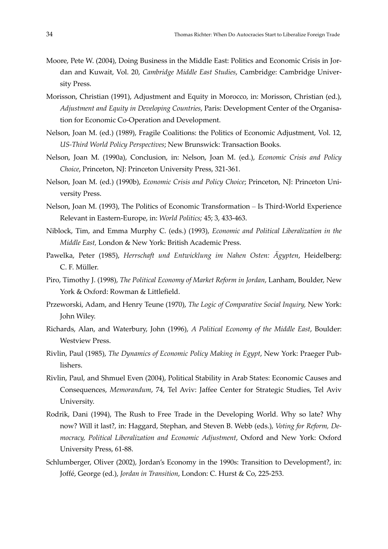- Moore, Pete W. (2004), Doing Business in the Middle East: Politics and Economic Crisis in Jordan and Kuwait, Vol. 20, *Cambridge Middle East Studies*, Cambridge: Cambridge Univer‐ sity Press.
- Morisson, Christian (1991), Adjustment and Equity in Morocco, in: Morisson, Christian (ed.), *Adjustment and Equity in Developing Countries*, Paris: Development Center of the Organisa‐ tion for Economic Co‐Operation and Development.
- Nelson, Joan M. (ed.) (1989), Fragile Coalitions: the Politics of Economic Adjustment, Vol. 12, *US‐Third World Policy Perspectives*; New Brunswick: Transaction Books.
- Nelson, Joan M. (1990a), Conclusion, in: Nelson, Joan M. (ed.), *Economic Crisis and Policy Choice*, Princeton, NJ: Princeton University Press, 321‐361.
- Nelson, Joan M. (ed.) (1990b), *Economic Crisis and Policy Choice*; Princeton, NJ: Princeton Uni‐ versity Press.
- Nelson, Joan M. (1993), The Politics of Economic Transformation Is Third‐World Experience Relevant in Eastern‐Europe, in: *World Politics;* 45; 3, 433‐463.
- Niblock, Tim, and Emma Murphy C. (eds.) (1993), *Economic and Political Liberalization in the Middle East,* London & New York: British Academic Press.
- Pawelka, Peter (1985), *Herrschaft und Entwicklung im Nahen Osten: Ägypten*, Heidelberg: C. F. Müller.
- Piro, Timothy J. (1998), *The Political Economy of Market Reform in Jordan*, Lanham, Boulder, New York & Oxford: Rowman & Littlefield.
- Przeworski, Adam, and Henry Teune (1970), *The Logic of Comparative Social Inquiry,* New York: John Wiley.
- Richards, Alan, and Waterbury, John (1996), *A Political Economy of the Middle East*, Boulder: Westview Press.
- Rivlin, Paul (1985), *The Dynamics of Economic Policy Making in Egypt*, New York: Praeger Pub‐ lishers.
- Rivlin, Paul, and Shmuel Even (2004), Political Stability in Arab States: Economic Causes and Consequences, *Memorandum*, 74, Tel Aviv: Jaffee Center for Strategic Studies, Tel Aviv University.
- Rodrik, Dani (1994), The Rush to Free Trade in the Developing World. Why so late? Why now? Will it last?, in: Haggard, Stephan, and Steven B. Webb (eds.), *Voting for Reform, De‐ mocracy, Political Liberalization and Economic Adjustment*, Oxford and New York: Oxford University Press, 61‐88.
- Schlumberger, Oliver (2002), Jordan's Economy in the 1990s: Transition to Development?, in: Joffé, George (ed.), *Jordan in Transition*, London: C. Hurst & Co, 225‐253.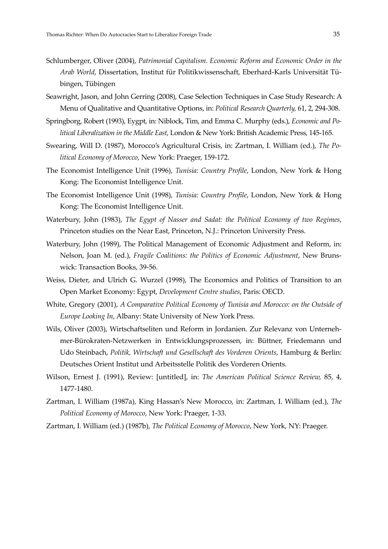- Schlumberger, Oliver (2004), *Patrimonial Capitalism. Economic Reform and Economic Order in the Arab World*, Dissertation, Institut für Politikwissenschaft, Eberhard‐Karls Universität Tü‐ bingen, Tübingen
- Seawright, Jason, and John Gerring (2008), Case Selection Techniques in Case Study Research: A Menu of Qualitative and Quantitative Options, in: *Political Research Quarterly,* 61, 2, 294‐308.
- Springborg, Robert (1993), Eygpt, in: Niblock, Tim, and Emma C. Murphy (eds.), *Economic and Po‐ litical Liberalization in the Middle East*, London & New York: British Academic Press, 145‐165.
- Swearing, Will D. (1987), Morocco's Agricultural Crisis, in: Zartman, I. William (ed.), *The Po‐ litical Economy of Morocco*, New York: Praeger, 159‐172.
- The Economist Intelligence Unit (1996), *Tunisia: Country Profile*, London, New York & Hong Kong: The Economist Intelligence Unit.
- The Economist Intelligence Unit (1998), *Tunisia: Country Profile*, London, New York & Hong Kong: The Economist Intelligence Unit.
- Waterbury, John (1983), *The Egypt of Nasser and Sadat: the Political Economy of two Regimes*, Princeton studies on the Near East, Princeton, N.J.: Princeton University Press.
- Waterbury, John (1989), The Political Management of Economic Adjustment and Reform, in: Nelson, Joan M. (ed.), *Fragile Coalitions: the Politics of Economic Adjustment*, New Bruns‐ wick: Transaction Books, 39‐56.
- Weiss, Dieter, and Ulrich G. Wurzel (1998), The Economics and Politics of Transition to an Open Market Economy: Egypt, *Development Centre studies*, Paris: OECD.
- White, Gregory (2001), *A Comparative Political Economy of Tunisia and Morocco: on the Outside of Europe Looking In*, Albany: State University of New York Press.
- Wils, Oliver (2003), Wirtschaftseliten und Reform in Jordanien. Zur Relevanz von Unterneh‐ mer‐Bürokraten‐Netzwerken in Entwicklungsprozessen, in: Büttner, Friedemann und Udo Steinbach, *Politik, Wirtschaft und Gesellschaft des Vorderen Orients*, Hamburg & Berlin: Deutsches Orient Institut und Arbeitsstelle Politik des Vorderen Orients.
- Wilson, Ernest J. (1991), Review: [untitled], in: *The American Political Science Review,* 85, 4, 1477‐1480.
- Zartman, I. William (1987a), King Hassan's New Morocco, in: Zartman, I. William (ed.), *The Political Economy of Morocco*, New York: Praeger, 1‐33.
- Zartman, I. William (ed.) (1987b), *The Political Economy of Morocco*, New York, NY: Praeger.